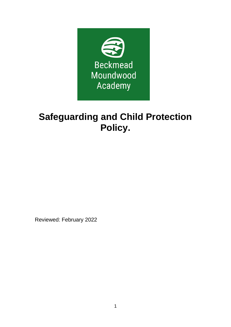

# **Safeguarding and Child Protection Policy.**

Reviewed: February 2022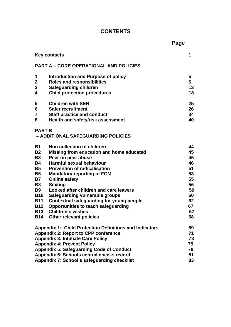# **CONTENTS**

|                                               |                                                                | Page |          |
|-----------------------------------------------|----------------------------------------------------------------|------|----------|
|                                               | <b>Key contacts</b>                                            |      | 1        |
| <b>PART A - CORE OPERATIONAL AND POLICIES</b> |                                                                |      |          |
| 1                                             | Introduction and Purpose of policy                             |      | 5        |
| $\overline{2}$                                | <b>Roles and responsibilities</b>                              |      | 6        |
| 3                                             | <b>Safeguarding children</b>                                   |      | 13       |
| 4                                             | <b>Child protection procedures</b>                             |      | 18       |
| 5                                             | <b>Children with SEN</b>                                       |      | 25       |
| 6                                             | <b>Safer recruitment</b>                                       |      | 26       |
| $\overline{7}$                                | <b>Staff practice and conduct</b>                              |      | 34       |
| 8                                             | Health and safety/risk assessment                              |      | 40       |
| <b>PART B</b>                                 |                                                                |      |          |
|                                               | - ADDITIONAL SAFEGUARDING POLICIES                             |      |          |
| <b>B1</b>                                     | Non collection of children                                     |      | 44       |
| <b>B2</b>                                     | Missing from education and home educated                       |      | 45       |
| <b>B3</b>                                     | Peer on peer abuse                                             |      | 46       |
| <b>B4</b>                                     | Harmful sexual behaviour                                       |      | 46       |
| <b>B5</b>                                     | <b>Prevention of radicalisation</b>                            |      | 51       |
| <b>B6</b>                                     | <b>Mandatory reporting of FGM</b>                              |      | 53       |
| <b>B7</b>                                     | <b>Online safety</b>                                           |      | 55       |
| <b>B8</b><br><b>B9</b>                        | <b>Sexting</b><br>Looked after children and care leavers       |      | 56<br>59 |
| <b>B10</b>                                    | Safeguarding vulnerable groups                                 |      | 60       |
| <b>B11</b>                                    | Contextual safeguarding for young people                       |      | 62       |
| <b>B12</b>                                    | <b>Opportunities to teach safeguarding</b>                     |      | 67       |
| <b>B13</b>                                    | <b>Children's wishes</b>                                       |      | 67       |
| <b>B14</b>                                    | <b>Other relevant policies</b>                                 |      | 68       |
|                                               | <b>Appendix 1: Child Protection Definitions and Indicators</b> |      | 69       |
| <b>Appendix 2: Report to CPP conference</b>   |                                                                |      | 71       |
| <b>Appendix 3: Intimate Care Policy</b>       |                                                                |      | 73       |
| <b>Appendix 4: Prevent Policy</b>             |                                                                |      | 75       |
|                                               | <b>Appendix 5: Safeguarding Code of Conduct</b>                |      | 79       |
| Appendix 6: Schools central checks record     |                                                                |      | 81       |
| Appendix 7: School's safeguarding checklist   |                                                                |      | 83       |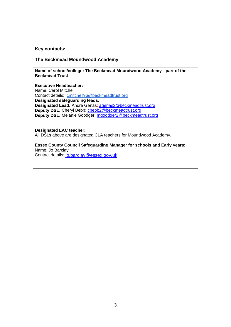#### **Key contacts:**

#### **The Beckmead Moundwood Academy**

**Name of school/college: The Beckmead Moundwood Academy - part of the Beckmead Trust** 

**Executive Headteacher:** Name: Carol Mitchell Contact details: [cmitchell96@beckmeadtrust.org](mailto:cmitchell96@beckmeadtrust.org) **Designated safeguarding leads: Designated Lead:** André Genas: [agenas2@beckmeadtrust.org](mailto:agenas2@beckmeadtrust.org) Deputy DSL: Cheryl Bebb: chebb2@beckmeadtrust.org **Deputy DSL:** Melanie Goodger: [mgoodger2@beckmeadtrust.org](mailto:mgoodger2@beckmeadtrust.org)

**Designated LAC teacher:** All DSLs above are designated CLA teachers for Moundwood Academy.

**Essex County Council Safeguarding Manager for schools and Early years:** Name: Jo Barclay Contact details: [jo.barclay@essex.gov.uk](mailto:jo.barclay@essex.gov.uk)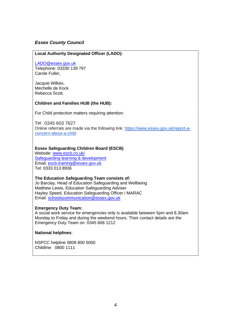#### *Essex County Council*

#### **Local Authority Designated Officer (LADO):**

#### [LADO@essex.gov.uk](mailto:LADO@essex.gov.uk)

Telephone: 03330 139 797 Carole Fuller,

Jacquie Wilkes, Mechelle de Kock Rebecca Scott.

#### **Children and Families HUB (the HUB):**

For Child protection matters requiring attention:

Tel: 0345 603 7627 Online referrals are made via the following link: [https://www.essex.gov.uk/report-a](https://www.essex.gov.uk/report-a-concern-about-a-child)[concern-about-a-child](https://www.essex.gov.uk/report-a-concern-about-a-child)

#### **Essex Safeguarding Children Board (ESCB)**

Website: [www.escb.co.uk/](http://www.escb.co.uk/) [Safeguarding learning & development](http://croydonlcsb.org.uk/professionals/learning-development/) Email: [escb.training@essex.gov.uk](mailto:escb.training@essex.gov.uk) Tel: 0333 013 8936

#### **The Education Safeguarding Team consists of:** Jo Barclay, Head of Education Safeguarding and Wellbeing Matthew Lewis, Education Safeguarding Adviser Hayley Speed, Education Safeguarding Officer / MARAC Email: [schoolscommunication@essex.gov.uk](mailto:schoolscommunication@essex.gov.uk)

#### **Emergency Duty Team:**

A social work service for emergencies only is available between 5pm and 8.30am Monday to Friday and during the weekend hours. Their contact details are the Emergency Duty Team on: 0345 606 1212

#### **National helplines**:

NSPCC helpline 0808 800 5000 Childline 0800 1111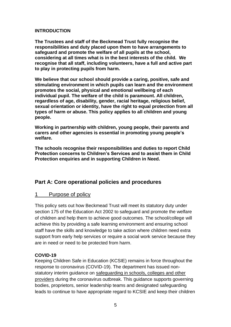#### **INTRODUCTION**

**The Trustees and staff of the Beckmead Trust fully recognise the responsibilities and duty placed upon them to have arrangements to safeguard and promote the welfare of all pupils at the school, considering at all times what is in the best interests of the child. We recognise that all staff, including volunteers, have a full and active part to play in protecting pupils from harm.** 

**We believe that our school should provide a caring, positive, safe and stimulating environment in which pupils can learn and the environment promotes the social, physical and emotional wellbeing of each individual pupil. The welfare of the child is paramount. All children, regardless of age, disability, gender, racial heritage, religious belief, sexual orientation or identity, have the right to equal protection from all types of harm or abuse. This policy applies to all children and young people.** 

**Working in partnership with children, young people, their parents and carers and other agencies is essential in promoting young people's welfare.**

**The schools recognise their responsibilities and duties to report Child Protection concerns to Children's Services and to assist them in Child Protection enquiries and in supporting Children in Need.** 

# **Part A: Core operational policies and procedures**

# 1 Purpose of policy

This policy sets out how Beckmead Trust will meet its statutory duty under section 175 of the Education Act 2002 to safeguard and promote the welfare of children and help them to achieve good outcomes. The school/college will achieve this by providing a safe learning environment and ensuring school staff have the skills and knowledge to take action where children need extra support from early help services or require a social work service because they are in need or need to be protected from harm.

#### **COVID-19**

Keeping Children Safe in Education (KCSIE) remains in force throughout the response to coronavirus (COVID-19). The department has issued nonstatutory interim guidance on [safeguarding in schools, colleges and other](https://www.gov.uk/government/publications/covid-19-safeguarding-in-schools-colleges-and-other-providers)  [providers](https://www.gov.uk/government/publications/covid-19-safeguarding-in-schools-colleges-and-other-providers) during the coronavirus outbreak. This guidance supports governing bodies, proprietors, senior leadership teams and designated safeguarding leads to continue to have appropriate regard to KCSIE and keep their children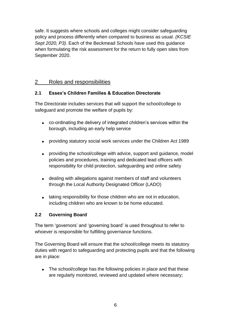safe. It suggests where schools and colleges might consider safeguarding policy and process differently when compared to business as usual. *(KCSIE Sept 2020, P3).* Each of the Beckmead Schools have used this guidance when formulating the risk assessment for the return to fully open sites from September 2020.

# 2 Roles and responsibilities

# **2.1 Essex's Children Families & Education Directorate**

The Directorate includes services that will support the school/college to safeguard and promote the welfare of pupils by:

- co-ordinating the delivery of integrated children's services within the borough, including an early help service
- providing statutory social work services under the Children Act 1989
- providing the school/college with advice, support and guidance, model policies and procedures, training and dedicated lead officers with responsibility for child protection, safeguarding and online safety
- dealing with allegations against members of staff and volunteers through the Local Authority Designated Officer (LADO)
- taking responsibility for those children who are not in education, including children who are known to be home educated.

# **2.2 Governing Board**

The term 'governors' and 'governing board' is used throughout to refer to whoever is responsible for fulfilling governance functions.

The Governing Board will ensure that the school/college meets its statutory duties with regard to safeguarding and protecting pupils and that the following are in place:

• The school/college has the following policies in place and that these are regularly monitored, reviewed and updated where necessary;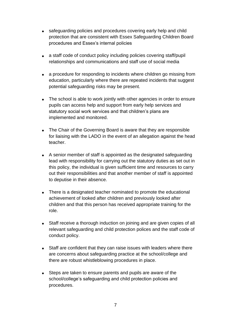- safeguarding policies and procedures covering early help and child protection that are consistent with Essex Safeguarding Children Board procedures and Essex's internal policies
- a staff code of conduct policy including policies covering staff/pupil relationships and communications and staff use of social media
- a procedure for responding to incidents where children go missing from education, particularly where there are repeated incidents that suggest potential safeguarding risks may be present.
- The school is able to work jointly with other agencies in order to ensure pupils can access help and support from early help services and statutory social work services and that children's plans are implemented and monitored.
- The Chair of the Governing Board is aware that they are responsible for liaising with the LADO in the event of an allegation against the head teacher.
- A senior member of staff is appointed as the designated safeguarding lead with responsibility for carrying out the statutory duties as set out in this policy, the individual is given sufficient time and resources to carry out their responsibilities and that another member of staff is appointed to deputise in their absence.
- There is a designated teacher nominated to promote the educational achievement of looked after children and previously looked after children and that this person has received appropriate training for the role.
- Staff receive a thorough induction on joining and are given copies of all relevant safeguarding and child protection polices and the staff code of conduct policy.
- Staff are confident that they can raise issues with leaders where there are concerns about safeguarding practice at the school/college and there are robust whistleblowing procedures in place.
- Steps are taken to ensure parents and pupils are aware of the school/college's safeguarding and child protection policies and procedures.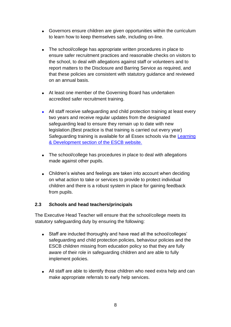- Governors ensure children are given opportunities within the curriculum to learn how to keep themselves safe, including on-line.
- The school/college has appropriate written procedures in place to ensure safer recruitment practices and reasonable checks on visitors to the school, to deal with allegations against staff or volunteers and to report matters to the Disclosure and Barring Service as required, and that these policies are consistent with statutory guidance and reviewed on an annual basis.
- At least one member of the Governing Board has undertaken accredited safer recruitment training.
- All staff receive safeguarding and child protection training at least every two years and receive regular updates from the designated safeguarding lead to ensure they remain up to date with new legislation.(Best practice is that training is carried out every year) Safeguarding training is available for all Essex schools via the [Learning](https://www.escb.co.uk/learning-and-development/)  [& Development section of the ESCB website.](https://www.escb.co.uk/learning-and-development/)
- The school/college has procedures in place to deal with allegations made against other pupils.
- Children's wishes and feelings are taken into account when deciding on what action to take or services to provide to protect individual children and there is a robust system in place for gaining feedback from pupils.

#### **2.3** *S***chools and head teachers/principals**

The Executive Head Teacher will ensure that the school/college meets its statutory safeguarding duty by ensuring the following:

- Staff are inducted thoroughly and have read all the school/colleges' safeguarding and child protection policies, behaviour policies and the ESCB children missing from education policy so that they are fully aware of their role in safeguarding children and are able to fully implement policies.
- All staff are able to identify those children who need extra help and can make appropriate referrals to early help services.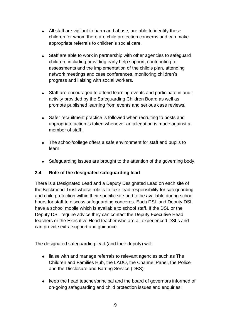- All staff are vigilant to harm and abuse, are able to identify those children for whom there are child protection concerns and can make appropriate referrals to children's social care.
- Staff are able to work in partnership with other agencies to safeguard children, including providing early help support, contributing to assessments and the implementation of the child's plan, attending network meetings and case conferences, monitoring children's progress and liaising with social workers.
- Staff are encouraged to attend learning events and participate in audit activity provided by the Safeguarding Children Board as well as promote published learning from events and serious case reviews.
- Safer recruitment practice is followed when recruiting to posts and appropriate action is taken whenever an allegation is made against a member of staff.
- The school/college offers a safe environment for staff and pupils to learn.
- Safeguarding issues are brought to the attention of the governing body.

# **2.4 Role of the designated safeguarding lead**

There is a Designated Lead and a Deputy Designated Lead on each site of the Beckmead Trust whose role is to take lead responsibility for safeguarding and child protection within their specific site and to be available during school hours for staff to discuss safeguarding concerns. Each DSL and Deputy DSL have a school mobile which is available to school staff. If the DSL or the Deputy DSL require advice they can contact the Deputy Executive Head teachers or the Executive Head teacher who are all experienced DSLs and can provide extra support and guidance.

The designated safeguarding lead (and their deputy) will:

- liaise with and manage referrals to relevant agencies such as The Children and Families Hub, the LADO, the Channel Panel, the Police and the Disclosure and Barring Service (DBS);
- keep the head teacher/principal and the board of governors informed of on-going safeguarding and child protection issues and enquiries;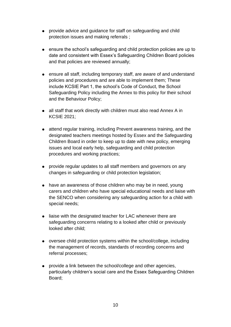- provide advice and guidance for staff on safeguarding and child protection issues and making referrals ;
- ensure the school's safeguarding and child protection policies are up to date and consistent with Essex's Safeguarding Children Board policies and that policies are reviewed annually;
- ensure all staff, including temporary staff, are aware of and understand policies and procedures and are able to implement them; These include KCSIE Part 1, the school's Code of Conduct, the School Safeguarding Policy including the Annex to this policy for their school and the Behaviour Policy;
- all staff that work directly with children must also read Annex A in KCSIE 2021;
- attend regular training, including Prevent awareness training, and the designated teachers meetings hosted by Essex and the Safeguarding Children Board in order to keep up to date with new policy, emerging issues and local early help, safeguarding and child protection procedures and working practices;
- provide regular updates to all staff members and governors on any changes in safeguarding or child protection legislation;
- have an awareness of those children who may be in need, young carers and children who have special educational needs and liaise with the SENCO when considering any safeguarding action for a child with special needs;
- liaise with the designated teacher for LAC whenever there are safeguarding concerns relating to a looked after child or previously looked after child;
- oversee child protection systems within the school/college, including the management of records, standards of recording concerns and referral processes;
- provide a link between the school/college and other agencies, particularly children's social care and the Essex Safeguarding Children Board;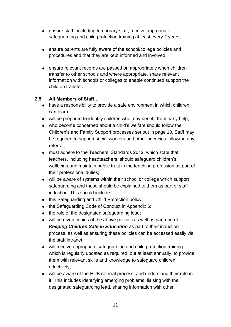- ensure staff, including temporary staff, receive appropriate safeguarding and child protection training at least every 2 years;
- ensure parents are fully aware of the school/college policies and procedures and that they are kept informed and involved;
- ensure relevant records are passed on appropriately when children transfer to other schools and where appropriate, share relevant information with schools or colleges to enable continued support the child on transfer.

# **2.5 All Members of Staff…**

- have a responsibility to provide a safe environment in which children can learn;
- will be prepared to identify children who may benefit from early help;
- who become concerned about a child's welfare should follow the Children's and Family Support processes set out in page 10. Staff may be required to support social workers and other agencies following any referral;
- must adhere to the Teachers' Standards 2012, which state that teachers, including headteachers, should safeguard children's wellbeing and maintain public trust in the teaching profession as part of their professional duties;
- will be aware of systems within their school or college which support safeguarding and these should be explained to them as part of staff induction. This should include:
- this Safeguarding and Child Protection policy;
- the Safeguarding Code of Conduct in Appendix 6;
- the role of the designated safeguarding lead;
- will be given copies of the above policies as well as part one of *Keeping Children Safe in Education* as part of their induction process, as well as ensuring these policies can be accessed easily via the staff intranet.
- will receive appropriate safeguarding and child protection training which is regularly updated as required, but at least annually, to provide them with relevant skills and knowledge to safeguard children effectively;
- will be aware of the HUB referral process, and understand their role in it. This includes identifying emerging problems, liaising with the designated safeguarding lead, sharing information with other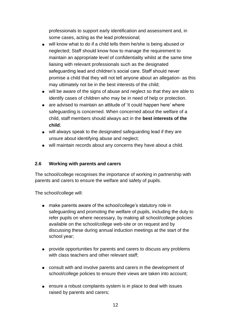professionals to support early identification and assessment and, in some cases, acting as the lead professional;

- will know what to do if a child tells them he/she is being abused or neglected; Staff should know how to manage the requirement to maintain an appropriate level of confidentiality whilst at the same time liaising with relevant professionals such as the designated safeguarding lead and children's social care. Staff should never promise a child that they will not tell anyone about an allegation- as this may ultimately not be in the best interests of the child;
- will be aware of the signs of abuse and neglect so that they are able to identify cases of children who may be in need of help or protection.
- are advised to maintain an attitude of 'it could happen here' where safeguarding is concerned. When concerned about the welfare of a child, staff members should always act in the **best interests of the child**;
- will always speak to the designated safeguarding lead if they are unsure about identifying abuse and neglect;
- will maintain records about any concerns they have about a child.

#### **2.6 Working with parents and carers**

The school/college recognises the importance of working in partnership with parents and carers to ensure the welfare and safety of pupils.

The school/college will:

- make parents aware of the school/college's statutory role in safeguarding and promoting the welfare of pupils, including the duty to refer pupils on where necessary, by making all school/college policies available on the school/college web-site or on request and by discussing these during annual induction meetings at the start of the school year;
- provide opportunities for parents and carers to discuss any problems with class teachers and other relevant staff;
- consult with and involve parents and carers in the development of school/college policies to ensure their views are taken into account;
- ensure a robust complaints system is in place to deal with issues raised by parents and carers;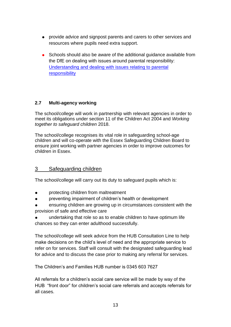- provide advice and signpost parents and carers to other services and resources where pupils need extra support.
- Schools should also be aware of the additional guidance available from the DfE on dealing with issues around parental responsibility: [Understanding and dealing with issues relating to parental](https://www.gov.uk/government/publications/dealing-with-issues-relating-to-parental-responsibility/understanding-and-dealing-with-issues-relating-to-parental-responsibility)  [responsibility](https://www.gov.uk/government/publications/dealing-with-issues-relating-to-parental-responsibility/understanding-and-dealing-with-issues-relating-to-parental-responsibility)

# **2.7 Multi-agency working**

The school/college will work in partnership with relevant agencies in order to meet its obligations under section 11 of the Children Act 2004 and *Working together to safeguard children* 2018.

The school/college recognises its vital role in safeguarding school-age children and will co-operate with the Essex Safeguarding Children Board to ensure joint working with partner agencies in order to improve outcomes for children in Essex.

# 3 Safeguarding children

The school/college will carry out its duty to safeguard pupils which is:

- protecting children from maltreatment
- preventing impairment of children's health or development
- ensuring children are growing up in circumstances consistent with the provision of safe and effective care
- undertaking that role so as to enable children to have optimum life chances so they can enter adulthood successfully.

The school/college will seek advice from the HUB Consultation Line to help make decisions on the child's level of need and the appropriate service to refer on for services. Staff will consult with the designated safeguarding lead for advice and to discuss the case prior to making any referral for services.

The Children's and Families HUB number is 0345 603 7627

All referrals for a children's social care service will be made by way of the HUB "front door" for children's social care referrals and accepts referrals for all cases.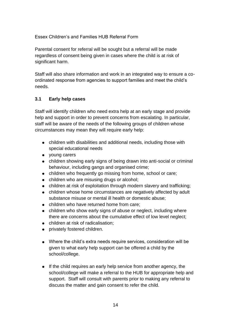Essex Children's and Families HUB Referral Form

Parental consent for referral will be sought but a referral will be made regardless of consent being given in cases where the child is at risk of significant harm.

Staff will also share information and work in an integrated way to ensure a coordinated response from agencies to support families and meet the child's needs.

# **3.1 Early help cases**

Staff will identify children who need extra help at an early stage and provide help and support in order to prevent concerns from escalating. In particular, staff will be aware of the needs of the following groups of children whose circumstances may mean they will require early help:

- children with disabilities and additional needs, including those with special educational needs
- young carers
- children showing early signs of being drawn into anti-social or criminal behaviour, including gangs and organised crime;
- children who frequently go missing from home, school or care;
- children who are misusing drugs or alcohol;
- children at risk of exploitation through modern slavery and trafficking;
- children whose home circumstances are negatively affected by adult substance misuse or mental ill health or domestic abuse;
- children who have returned home from care;
- children who show early signs of abuse or neglect, including where there are concerns about the cumulative effect of low level neglect;
- children at risk of radicalisation;
- privately fostered children.
- Where the child's extra needs require services, consideration will be given to what early help support can be offered a child by the school/college.
- If the child requires an early help service from another agency, the school/college will make a referral to the HUB for appropriate help and support. Staff will consult with parents prior to making any referral to discuss the matter and gain consent to refer the child.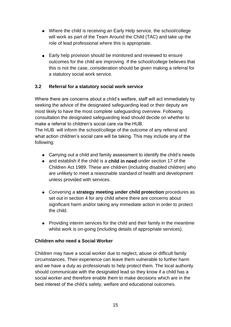- Where the child is receiving an Early Help service, the school/college will work as part of the Team Around the Child (TAC) and take up the role of lead professional where this is appropriate.
- Early help provision should be monitored and reviewed to ensure outcomes for the child are improving. If the school/college believes that this is not the case, consideration should be given making a referral for a statutory social work service.

### **3.2 Referral for a statutory social work service**

Where there are concerns about a child's welfare, staff will act immediately by seeking the advice of the designated safeguarding lead or their deputy are most likely to have the most complete safeguarding overview. Following consultation the designated safeguarding lead should decide on whether to make a referral to children's social care via the HUB.

The HUB will inform the school/college of the outcome of any referral and what action children's social care will be taking. This may include any of the following:

- Carrying out a child and family assessment to identify the child's needs
- and establish if the child is a **child in need** under section 17 of the Children Act 1989. These are children (including disabled children) who are unlikely to meet a reasonable standard of health and development unless provided with services.
- Convening a **strategy meeting under child protection** procedures as set out in section 4 for any child where there are concerns about significant harm and/or taking any immediate action in order to protect the child.
- Providing interim services for the child and their family in the meantime whilst work is on-going (including details of appropriate services).

#### **Children who need a Social Worker**

Children may have a social worker due to neglect, abuse or difficult family circumstances. Their experience can leave them vulnerable to further harm and we have a duty as professionals to help protect them. The local authority should communicate with the designated lead so they know if a child has a social worker and therefore enable them to make decisions which are in the best interest of the child's safety, welfare and educational outcomes.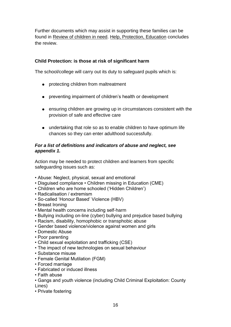Further documents which may assist in supporting these families can be found in [Review of children in need.](https://www.gov.uk/government/publications/review-of-children-in-need/review-of-children-in-need) [Help, Protection, Education](https://assets.publishing.service.gov.uk/government/uploads/system/uploads/attachment_data/file/809236/190614_CHILDREN_IN_NEED_PUBLICATION_FINAL.pdf) concludes the review.

#### **Child Protection: is those at risk of significant harm**

The school/college will carry out its duty to safeguard pupils which is:

- protecting children from maltreatment
- preventing impairment of children's health or development
- ensuring children are growing up in circumstances consistent with the provision of safe and effective care
- undertaking that role so as to enable children to have optimum life chances so they can enter adulthood successfully.

#### *For a list of definitions and indicators of abuse and neglect, see appendix 1.*

Action may be needed to protect children and learners from specific safeguarding issues such as:

- Abuse: Neglect, physical, sexual and emotional
- Disguised compliance Children missing in Education (CME)
- Children who are home schooled ('Hidden Children')
- Radicalisation / extremism
- So-called 'Honour Based' Violence (HBV)
- Breast Ironing
- Mental health concerns including self-harm
- Bullying including on-line (cyber) bullying and prejudice based bullying
- Racism, disability, homophobic or transphobic abuse
- Gender based violence/violence against women and girls
- Domestic Abuse
- Poor parenting
- Child sexual exploitation and trafficking (CSE)
- The impact of new technologies on sexual behaviour
- Substance misuse
- Female Genital Mutilation (FGM)
- Forced marriage
- Fabricated or induced illness
- Faith abuse
- Gangs and youth violence (including Child Criminal Exploitation: County Lines)
- Private fostering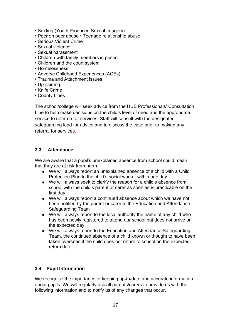- Sexting (Youth Produced Sexual Imagery)
- Peer on peer abuse Teenage relationship abuse
- Serious Violent Crime
- Sexual violence
- Sexual harassment
- Children with family members in prison
- Children and the court system
- Homelessness
- Adverse Childhood Experiences (ACEs)
- Trauma and Attachment issues
- Up-skirting
- Knife Crime
- County Lines

The school/college will seek advice from the HUB Professionals' Consultation Line to help make decisions on the child's level of need and the appropriate service to refer on for services. Staff will consult with the designated safeguarding lead for advice and to discuss the case prior to making any referral for services.

### **3.3 Attendance**

We are aware that a pupil's unexplained absence from school could mean that they are at risk from harm.

- We will always report an unexplained absence of a child with a Child Protection Plan to the child's social worker within one day
- We will always seek to clarify the reason for a child's absence from school with the child's parent or carer as soon as is practicable on the first day
- We will always report a continued absence about which we have not been notified by the parent or carer to the Education and Attendance Safeguarding Team
- We will always report to the local authority the name of any child who has been newly registered to attend our school but does not arrive on the expected day
- We will always report to the Education and Attendance Safeguarding Team, the continued absence of a child known or thought to have been taken overseas if the child does not return to school on the expected return date.

#### **3.4 Pupil Information**

We recognise the importance of keeping up-to-date and accurate information about pupils. We will regularly ask all parents/carers to provide us with the following information and to notify us of any changes that occur.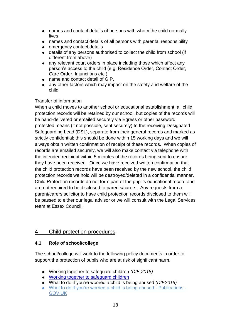- names and contact details of persons with whom the child normally lives
- names and contact details of all persons with parental responsibility
- **emergency contact details**
- details of any persons authorised to collect the child from school (if different from above)
- any relevant court orders in place including those which affect any person's access to the child (e.g. Residence Order, Contact Order, Care Order, Injunctions etc.)
- name and contact detail of G.P.
- any other factors which may impact on the safety and welfare of the child

# Transfer of information

When a child moves to another school or educational establishment, all child protection records will be retained by our school, but copies of the records will be hand-delivered or emailed securely via Egress or other password protected means (if not possible, sent securely) to the receiving Designated Safeguarding Lead (DSL), separate from their general records and marked as strictly confidential; this should be done within 15 working days and we will always obtain written confirmation of receipt of these records. When copies of records are emailed securely, we will also make contact via telephone with the intended recipient within 5 minutes of the records being sent to ensure they have been received. Once we have received written confirmation that the child protection records have been received by the new school, the child protection records we hold will be destroyed/deleted in a confidential manner. Child Protection records do not form part of the pupil's educational record and are not required to be disclosed to parents/carers. Any requests from a parent/carers solicitor to have child protection records disclosed to them will be passed to either our legal advisor or we will consult with the Legal Services team at Essex Council.

# 4 Child protection procedures

# **4.1 Role of school/college**

The school/college will work to the following policy documents in order to support the protection of pupils who are at risk of significant harm.

- Working together to safeguard children *(DfE 2018)*
- [Working together to safeguard children](https://assets.publishing.service.gov.uk/government/uploads/system/uploads/attachment_data/file/729914/Working_Together_to_Safeguard_Children-2018.pdf)
- What to do if you're worried a child is being abused *(DfE2015)*
- [What to do if you're worried a child is being abused -](https://www.gov.uk/government/publications/what-to-do-if-youre-worried-a-child-is-being-abused--2) Publications -[GOV.UK](https://www.gov.uk/government/publications/what-to-do-if-youre-worried-a-child-is-being-abused--2)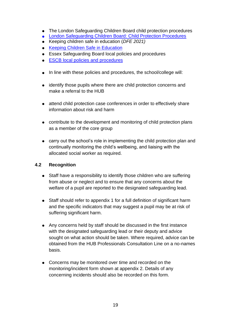- The London Safeguarding Children Board child protection procedures
- [London Safeguarding Children Board: Child Protection Procedures](http://www.londoncp.co.uk/)
- Keeping children safe in education (*DFE 2021)*
- [Keeping Children Safe in Education](https://assets.publishing.service.gov.uk/government/uploads/system/uploads/attachment_data/file/741314/Keeping_Children_Safe_in_Education__3_September_2018_14.09.18.pdf)
- Essex Safeguarding Board local policies and procedures
- [ESCB local policies and procedures](http://croydonlcsb.org.uk/professionals/policies/)
- In line with these policies and procedures, the school/college will:
- identify those pupils where there are child protection concerns and make a referral to the HUB
- attend child protection case conferences in order to effectively share information about risk and harm
- contribute to the development and monitoring of child protection plans as a member of the core group
- carry out the school's role in implementing the child protection plan and continually monitoring the child's wellbeing, and liaising with the allocated social worker as required.

## **4.2 Recognition**

- Staff have a responsibility to identify those children who are suffering from abuse or neglect and to ensure that any concerns about the welfare of a pupil are reported to the designated safeguarding lead.
- Staff should refer to appendix 1 for a full definition of significant harm and the specific indicators that may suggest a pupil may be at risk of suffering significant harm.
- Any concerns held by staff should be discussed in the first instance with the designated safeguarding lead or their deputy and advice sought on what action should be taken. Where required, advice can be obtained from the HUB Professionals Consultation Line on a no-names basis.
- Concerns may be monitored over time and recorded on the monitoring/incident form shown at appendix 2. Details of any concerning incidents should also be recorded on this form.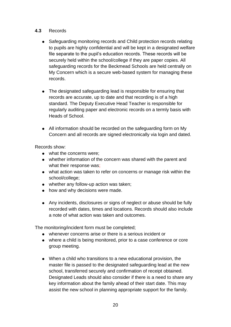#### **4.3** Records

- Safeguarding monitoring records and Child protection records relating to pupils are highly confidential and will be kept in a designated welfare file separate to the pupil's education records. These records will be securely held within the school/college if they are paper copies. All safeguarding records for the Beckmead Schools are held centrally on My Concern which is a secure web-based system for managing these records.
- The designated safeguarding lead is responsible for ensuring that records are accurate, up to date and that recording is of a high standard. The Deputy Executive Head Teacher is responsible for regularly auditing paper and electronic records on a termly basis with Heads of School.
- All information should be recorded on the safeguarding form on My Concern and all records are signed electronically via login and dated.

Records show:

- what the concerns were;
- whether information of the concern was shared with the parent and what their response was;
- what action was taken to refer on concerns or manage risk within the school/college;
- whether any follow-up action was taken;
- how and why decisions were made.
- Any incidents, disclosures or signs of neglect or abuse should be fully recorded with dates, times and locations. Records should also include a note of what action was taken and outcomes.

The monitoring/incident form must be completed;

- whenever concerns arise or there is a serious incident or
- where a child is being monitored, prior to a case conference or core group meeting.
- When a child who transitions to a new educational provision, the master file is passed to the designated safeguarding lead at the new school, transferred securely and confirmation of receipt obtained. Designated Leads should also consider if there is a need to share any key information about the family ahead of their start date. This may assist the new school in planning appropriate support for the family.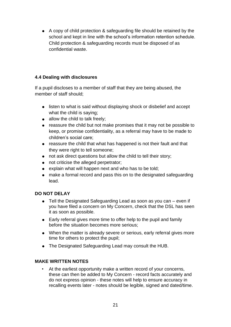● A copy of child protection & safeguarding file should be retained by the school and kept in line with the school's information retention schedule. Child protection & safeguarding records must be disposed of as confidential waste.

## **4.4 Dealing with disclosures**

If a pupil discloses to a member of staff that they are being abused, the member of staff should;

- listen to what is said without displaying shock or disbelief and accept what the child is saying;
- $\bullet$  allow the child to talk freely;
- reassure the child but not make promises that it may not be possible to keep, or promise confidentiality, as a referral may have to be made to children's social care;
- reassure the child that what has happened is not their fault and that they were right to tell someone;
- not ask direct questions but allow the child to tell their story;
- not criticise the alleged perpetrator;
- explain what will happen next and who has to be told:
- make a formal record and pass this on to the designated safeguarding lead.

# **DO NOT DELAY**

- Tell the Designated Safeguarding Lead as soon as you can even if you have filed a concern on My Concern, check that the DSL has seen it as soon as possible.
- Early referral gives more time to offer help to the pupil and family before the situation becomes more serious;
- When the matter is already severe or serious, early referral gives more time for others to protect the pupil;
- The Designated Safeguarding Lead may consult the HUB.

#### **MAKE WRITTEN NOTES**

At the earliest opportunity make a written record of your concerns, these can then be added to My Concern - record facts accurately and do not express opinion - these notes will help to ensure accuracy in recalling events later - notes should be legible, signed and dated/time.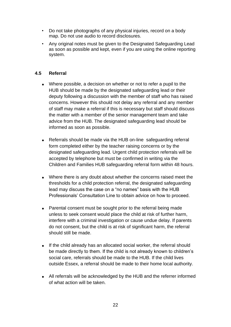- Do not take photographs of any physical injuries, record on a body map. Do not use audio to record disclosures.
- Any original notes must be given to the Designated Safeguarding Lead as soon as possible and kept, even if you are using the online reporting system.

## **4.5 Referral**

- Where possible, a decision on whether or not to refer a pupil to the HUB should be made by the designated safeguarding lead or their deputy following a discussion with the member of staff who has raised concerns. However this should not delay any referral and any member of staff may make a referral if this is necessary but staff should discuss the matter with a member of the senior management team and take advice from the HUB. The designated safeguarding lead should be informed as soon as possible.
- Referrals should be made via the HUB on-line safeguarding referral form completed either by the teacher raising concerns or by the designated safeguarding lead. Urgent child protection referrals will be accepted by telephone but must be confirmed in writing via the Children and Families HUB safeguarding referral form within 48 hours.
- Where there is any doubt about whether the concerns raised meet the thresholds for a child protection referral, the designated safeguarding lead may discuss the case on a "no names" basis with the HUB Professionals' Consultation Line to obtain advice on how to proceed.
- Parental consent must be sought prior to the referral being made unless to seek consent would place the child at risk of further harm, interfere with a criminal investigation or cause undue delay. If parents do not consent, but the child is at risk of significant harm, the referral should still be made.
- If the child already has an allocated social worker, the referral should be made directly to them. If the child is not already known to children's social care, referrals should be made to the HUB. If the child lives outside Essex, a referral should be made to their home local authority.
- All referrals will be acknowledged by the HUB and the referrer informed of what action will be taken.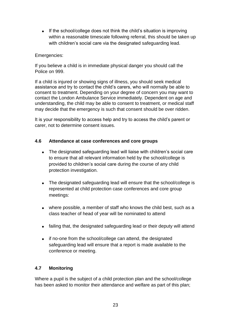• If the school/college does not think the child's situation is improving within a reasonable timescale following referral, this should be taken up with children's social care via the designated safeguarding lead.

#### Emergencies:

If you believe a child is in immediate physical danger you should call the Police on 999.

If a child is injured or showing signs of illness, you should seek medical assistance and try to contact the child's carers, who will normally be able to consent to treatment. Depending on your degree of concern you may want to contact the London Ambulance Service immediately. Dependent on age and understanding, the child may be able to consent to treatment, or medical staff may decide that the emergency is such that consent should be over ridden.

It is your responsibility to access help and try to access the child's parent or carer, not to determine consent issues.

#### **4.6 Attendance at case conferences and core groups**

- The designated safeguarding lead will liaise with children's social care to ensure that all relevant information held by the school/college is provided to children's social care during the course of any child protection investigation.
- The designated safeguarding lead will ensure that the school/college is represented at child protection case conferences and core group meetings:
- where possible, a member of staff who knows the child best, such as a class teacher of head of year will be nominated to attend
- failing that, the designated safeguarding lead or their deputy will attend
- if no-one from the school/college can attend, the designated safeguarding lead will ensure that a report is made available to the conference or meeting.

#### **4.7 Monitoring**

Where a pupil is the subject of a child protection plan and the school/college has been asked to monitor their attendance and welfare as part of this plan;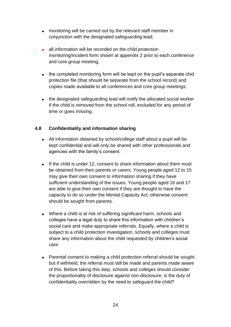- monitoring will be carried out by the relevant staff member in conjunction with the designated safeguarding lead;
- all information will be recorded on the child protection monitoring/incident form shown at appendix 2 prior to each conference and core group meeting;
- the completed monitoring form will be kept on the pupil's separate chid protection file (that should be separate from the school record) and copies made available to all conferences and core group meetings;
- the designated safeguarding lead will notify the allocated social worker if the child is removed from the school roll, excluded for any period of time or goes missing.

### **4.8 Confidentiality and information sharing**

- All information obtained by school/college staff about a pupil will be kept confidential and will only be shared with other professionals and agencies with the family's consent.
- If the child is under 12, consent to share information about them must be obtained from their parents or carers. Young people aged 12 to 15 may give their own consent to information sharing if they have sufficient understanding of the issues. Young people aged 16 and 17 are able to give their own consent if they are thought to have the capacity to do so under the Mental Capacity Act; otherwise consent should be sought from parents.
- Where a child is at risk of suffering significant harm, schools and colleges have a legal duty to share this information with children's social care and make appropriate referrals. Equally, where a child is subject to a child protection investigation, schools and colleges must share any information about the child requested by children's social care.
- Parental consent to making a child protection referral should be sought but if withheld, the referral must still be made and parents made aware of this. Before taking this step, schools and colleges should consider the proportionality of disclosure against non-disclosure; is the duty of confidentiality overridden by the need to safeguard the child?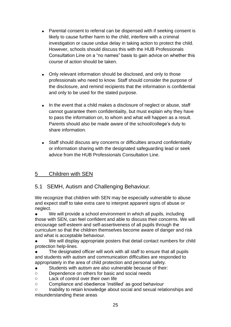- Parental consent to referral can be dispensed with if seeking consent is likely to cause further harm to the child, interfere with a criminal investigation or cause undue delay in taking action to protect the child. However, schools should discuss this with the HUB Professionals Consultation Line on a "no names" basis to gain advice on whether this course of action should be taken.
- Only relevant information should be disclosed, and only to those professionals who need to know. Staff should consider the purpose of the disclosure, and remind recipients that the information is confidential and only to be used for the stated purpose.
- In the event that a child makes a disclosure of neglect or abuse, staff cannot guarantee them confidentiality, but must explain why they have to pass the information on, to whom and what will happen as a result. Parents should also be made aware of the school/college's duty to share information.
- Staff should discuss any concerns or difficulties around confidentiality or information sharing with the designated safeguarding lead or seek advice from the HUB Professionals Consultation Line.

# 5 Children with SEN

# 5.1 SEMH, Autism and Challenging Behaviour.

We recognize that children with SEN may be especially vulnerable to abuse and expect staff to take extra care to interpret apparent signs of abuse or neglect.

● We will provide a school environment in which all pupils, including those with SEN, can feel confident and able to discuss their concerns. We will encourage self-esteem and self-assertiveness of all pupils through the curriculum so that the children themselves become aware of danger and risk and what is acceptable behaviour.

We will display appropriate posters that detail contact numbers for child protection help-lines.

The designated officer will work with all staff to ensure that all pupils and students with autism and communication difficulties are responded to appropriately in the area of child protection and personal safety.

- Students with autism are also vulnerable because of their:
- o Dependence on others for basic and social needs
- o Lack of control over their own life
- o Compliance and obedience 'instilled' as good behaviour

o Inability to retain knowledge about social and sexual relationships and misunderstanding these areas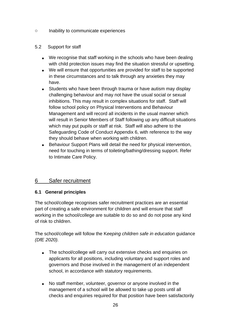o Inability to communicate experiences

#### 5.2 Support for staff

- We recognise that staff working in the schools who have been dealing with child protection issues may find the situation stressful or upsetting.
- We will ensure that opportunities are provided for staff to be supported in these circumstances and to talk through any anxieties they may have.
- Students who have been through trauma or have autism may display challenging behaviour and may not have the usual social or sexual inhibitions. This may result in complex situations for staff. Staff will follow school policy on Physical Interventions and Behaviour Management and will record all incidents in the usual manner which will result in Senior Members of Staff following up any difficult situations which may put pupils or staff at risk. Staff will also adhere to the Safeguarding Code of Conduct Appendix 6, with reference to the way they should behave when working with children.
- Behaviour Support Plans will detail the need for physical intervention, need for touching in terms of toileting/bathing/dressing support. Refer to Intimate Care Policy.

# 6 Safer recruitment

#### **6.1 General principles**

The school/college recognises safer recruitment practices are an essential part of creating a safe environment for children and will ensure that staff working in the school/college are suitable to do so and do not pose any kind of risk to children.

The school/college will follow the K*eeping children safe in education* guidance *(DfE 2020).*

- The school/college will carry out extensive checks and enquiries on applicants for all positions, including voluntary and support roles and governors and those involved in the management of an independent school, in accordance with statutory requirements.
- No staff member, volunteer, governor or anyone involved in the management of a school will be allowed to take up posts until all checks and enquiries required for that position have been satisfactorily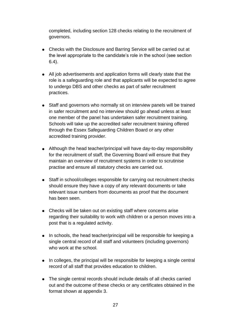completed, including section 128 checks relating to the recruitment of governors.

- Checks with the Disclosure and Barring Service will be carried out at the level appropriate to the candidate's role in the school (see section 6.4).
- All job advertisements and application forms will clearly state that the role is a safeguarding role and that applicants will be expected to agree to undergo DBS and other checks as part of safer recruitment practices.
- Staff and governors who normally sit on interview panels will be trained in safer recruitment and no interview should go ahead unless at least one member of the panel has undertaken safer recruitment training. Schools will take up the accredited safer recruitment training offered through the Essex Safeguarding Children Board or any other accredited training provider.
- Although the head teacher/principal will have day-to-day responsibility for the recruitment of staff, the Governing Board will ensure that they maintain an overview of recruitment systems in order to scrutinise practise and ensure all statutory checks are carried out.
- Staff in school/colleges responsible for carrying out recruitment checks should ensure they have a copy of any relevant documents or take relevant issue numbers from documents as proof that the document has been seen.
- Checks will be taken out on existing staff where concerns arise regarding their suitability to work with children or a person moves into a post that is a regulated activity.
- In schools, the head teacher/principal will be responsible for keeping a single central record of all staff and volunteers (including governors) who work at the school.
- In colleges, the principal will be responsible for keeping a single central record of all staff that provides education to children.
- The single central records should include details of all checks carried out and the outcome of these checks or any certificates obtained in the format shown at appendix 3.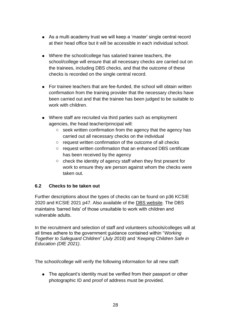- As a multi academy trust we will keep a 'master' single central record at their head office but it will be accessible in each individual school.
- Where the school/college has salaried trainee teachers, the school/college will ensure that all necessary checks are carried out on the trainees, including DBS checks, and that the outcome of these checks is recorded on the single central record.
- For trainee teachers that are fee-funded, the school will obtain written confirmation from the training provider that the necessary checks have been carried out and that the trainee has been judged to be suitable to work with children.
- Where staff are recruited via third parties such as employment agencies, the head teacher/principal will:
	- o seek written confirmation from the agency that the agency has carried out all necessary checks on the individual
	- o request written confirmation of the outcome of all checks
	- o request written confirmation that an enhanced DBS certificate has been received by the agency
	- o check the identity of agency staff when they first present for work to ensure they are person against whom the checks were taken out.

# **6.2 Checks to be taken out**

Further descriptions about the types of checks can be found on p36 KCSIE 2020 and KCSIE 2021 p47. Also available of the [DBS website.](https://www.gov.uk/government/organisations/disclosure-and-barring-service) The DBS maintains 'barred lists' of those unsuitable to work with children and vulnerable adults.

In the recruitment and selection of staff and volunteers schools/colleges will at all times adhere to the government guidance contained within "*Working Together to Safeguard Children*" (*July 2018)* and '*Keeping Children Safe in Education (DfE 2021)*.

The school/college will verify the following information for all new staff:

• The applicant's identity must be verified from their passport or other photographic ID and proof of address must be provided.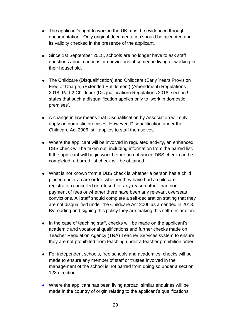- The applicant's right to work in the UK must be evidenced through documentation. Only original documentation should be accepted and its validity checked in the presence of the applicant.
- Since 1st September 2018, schools are no longer have to ask staff questions about cautions or convictions of someone living or working in their household.
- The Childcare (Disqualification) and Childcare (Early Years Provision Free of Charge) (Extended Entitlement) (Amendment) Regulations 2018, Part 2 Childcare (Disqualification) Regulations 2018, section 9, states that such a disqualification applies only to 'work in domestic premises'.
- A change in law means that Disqualification by Association will only apply on domestic premises. However, Disqualification under the Childcare Act 2006, still applies to staff themselves.
- Where the applicant will be involved in regulated activity, an enhanced DBS check will be taken out, including information from the barred list. If the applicant will begin work before an enhanced DBS check can be completed, a barred list check will be obtained.
- What is not known from a DBS check is whether a person has a child placed under a care order, whether they have had a childcare registration cancelled or refused for any reason other than nonpayment of fees or whether there have been any relevant overseas convictions. All staff should complete a self-declaration stating that they are not disqualified under the Childcare Act 2006 as amended in 2018. By reading and signing this policy they are making this self-declaration.
- In the case of teaching staff, checks will be made on the applicant's academic and vocational qualifications and further checks made on Teacher Regulation Agency (TRA) Teacher Services system to ensure they are not prohibited from teaching under a teacher prohibition order.
- For independent schools, free schools and academies, checks will be made to ensure any member of staff or trustee involved in the management of the school is not barred from doing so under a section 128 direction.
- Where the applicant has been living abroad, similar enquiries will be made in the country of origin relating to the applicant's qualifications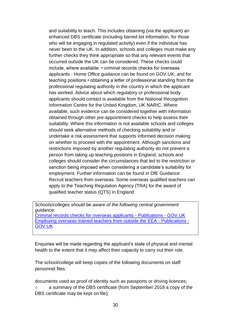and suitability to teach. This includes obtaining (via the applicant) an enhanced DBS certificate (including barred list information, for those who will be engaging in regulated activity) even if the individual has never been to the UK. In addition, schools and colleges must make any further checks they think appropriate so that any relevant events that occurred outside the UK can be considered. These checks could include, where available: • criminal records checks for overseas applicants - Home Office guidance can be found on GOV.UK; and for teaching positions • obtaining a letter of professional standing from the professional regulating authority in the country in which the applicant has worked. Advice about which regulatory or professional body applicants should contact is available from the National Recognition Information Centre for the United Kingdom, UK NARIC. Where available, such evidence can be considered together with information obtained through other pre-appointment checks to help assess their suitability. Where this information is not available schools and colleges should seek alternative methods of checking suitability and or undertake a risk assessment that supports informed decision making on whether to proceed with the appointment. Although sanctions and restrictions imposed by another regulating authority do not prevent a person from taking up teaching positions in England, schools and colleges should consider the circumstances that led to the restriction or sanction being imposed when considering a candidate's suitability for employment. Further information can be found in DfE Guidance: Recruit teachers from overseas. Some overseas qualified teachers can apply to the Teaching Regulation Agency (TRA) for the award of qualified teacher status (QTS) in England.

*Schools/colleges should be aware of the following central government guidance:* [Criminal records checks for overseas applicants -](https://www.gov.uk/government/publications/criminal-records-checks-for-overseas-applicants) Publications - GOV.UK [Employing overseas-trained teachers from outside the EEA -](https://www.gov.uk/government/publications/employing-overseas-trained-teachers-from-outside-the-eea) Publications - [GOV.UK](https://www.gov.uk/government/publications/employing-overseas-trained-teachers-from-outside-the-eea)

Enquiries will be made regarding the applicant's state of physical and mental health to the extent that it may affect their capacity to carry out their role.

The school/college will keep copies of the following documents on staff personnel files:

documents used as proof of identity such as passports or driving licences; o a summary of the DBS certificate (from September 2018 a copy of the DBS certificate may be kept on file);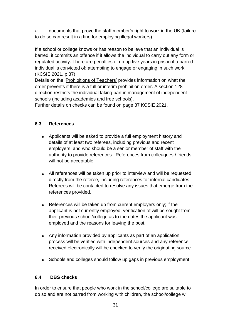o documents that prove the staff member's right to work in the UK (failure to do so can result in a fine for employing illegal workers).

If a school or college knows or has reason to believe that an individual is barred, it commits an offence if it allows the individual to carry out any form or regulated activity. There are penalties of up up five years in prison if a barred individual is convicted of: attempting to engage or engaging in such work. (KCSIE 2021, p.37)

Details on the ['Prohibitions of Teachers'](https://www.gov.uk/government/publications/teacher-misconduct-the-prohibition-of-teachers--3) provides information on what the order prevents if there is a full or interim prohibition order. A section 128 direction restricts the individual taking part in management of independent schools (including academies and free schools).

Further details on checks can be found on page 37 KCSIE 2021.

# **6.3 References**

- Applicants will be asked to provide a full employment history and details of at least two referees, including previous and recent employers, and who should be a senior member of staff with the authority to provide references. References from colleagues / friends will not be acceptable.
- All references will be taken up prior to interview and will be requested directly from the referee, including references for internal candidates. Referees will be contacted to resolve any issues that emerge from the references provided.
- References will be taken up from current employers only; if the applicant is not currently employed, verification of will be sought from their previous school/college as to the dates the applicant was employed and the reasons for leaving the post.
- Any information provided by applicants as part of an application process will be verified with independent sources and any reference received electronically will be checked to verify the originating source.
- Schools and colleges should follow up gaps in previous employment

# **6.4 DBS checks**

In order to ensure that people who work in the school/college are suitable to do so and are not barred from working with children, the school/college will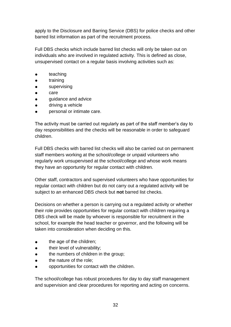apply to the Disclosure and Barring Service (DBS) for police checks and other barred list information as part of the recruitment process.

Full DBS checks which include barred list checks will only be taken out on individuals who are involved in regulated activity. This is defined as close, unsupervised contact on a regular basis involving activities such as:

- teaching
- training
- **•** supervising
- care
- quidance and advice
- driving a vehicle
- personal or intimate care.

The activity must be carried out regularly as part of the staff member's day to day responsibilities and the checks will be reasonable in order to safeguard children.

Full DBS checks with barred list checks will also be carried out on permanent staff members working at the school/college or unpaid volunteers who regularly work unsupervised at the school/college and whose work means they have an opportunity for regular contact with children.

Other staff, contractors and supervised volunteers who have opportunities for regular contact with children but do not carry out a regulated activity will be subject to an enhanced DBS check but **not** barred list checks.

Decisions on whether a person is carrying out a regulated activity or whether their role provides opportunities for regular contact with children requiring a DBS check will be made by whoever is responsible for recruitment in the school, for example the head teacher or governor, and the following will be taken into consideration when deciding on this.

- the age of the children:
- their level of vulnerability;
- the numbers of children in the group;
- the nature of the role:
- opportunities for contact with the children.

The school/college has robust procedures for day to day staff management and supervision and clear procedures for reporting and acting on concerns.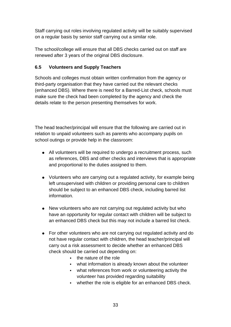Staff carrying out roles involving regulated activity will be suitably supervised on a regular basis by senior staff carrying out a similar role.

The school/college will ensure that all DBS checks carried out on staff are renewed after 3 years of the original DBS disclosure.

# **6.5 Volunteers and Supply Teachers**

Schools and colleges must obtain written confirmation from the agency or third-party organisation that they have carried out the relevant checks (enhanced DBS). Where there is need for a Barred-List check, schools must make sure the check had been completed by the agency and check the details relate to the person presenting themselves for work.

The head teacher/principal will ensure that the following are carried out in relation to unpaid volunteers such as parents who accompany pupils on school outings or provide help in the classroom:

- All volunteers will be required to undergo a recruitment process, such as references, DBS and other checks and interviews that is appropriate and proportional to the duties assigned to them.
- Volunteers who are carrying out a regulated activity, for example being left unsupervised with children or providing personal care to children should be subject to an enhanced DBS check, including barred list information.
- New volunteers who are not carrying out regulated activity but who have an opportunity for regular contact with children will be subject to an enhanced DBS check but this may not include a barred list check.
- For other volunteers who are not carrying out regulated activity and do not have regular contact with children, the head teacher/principal will carry out a risk assessment to decide whether an enhanced DBS check should be carried out depending on:
	- the nature of the role
	- what information is already known about the volunteer
	- what references from work or volunteering activity the volunteer has provided regarding suitability
	- whether the role is eligible for an enhanced DBS check.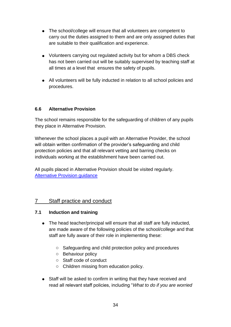- The school/college will ensure that all volunteers are competent to carry out the duties assigned to them and are only assigned duties that are suitable to their qualification and experience.
- Volunteers carrying out regulated activity but for whom a DBS check has not been carried out will be suitably supervised by teaching staff at all times at a level that ensures the safety of pupils.
- All volunteers will be fully inducted in relation to all school policies and procedures.

### **6.6 Alternative Provision**

The school remains responsible for the safeguarding of children of any pupils they place in Alternative Provision.

Whenever the school places a pupil with an Alternative Provider, the school will obtain written confirmation of the provider's safeguarding and child protection policies and that all relevant vetting and barring checks on individuals working at the establishment have been carried out.

All pupils placed in Alternative Provision should be visited regularly. [Alternative Provision guidance](https://assets.publishing.service.gov.uk/government/uploads/system/uploads/attachment_data/file/268940/alternative_provision_statutory_guidance_pdf_version.pdf)

# 7 Staff practice and conduct

#### **7.1 Induction and training**

- The head teacher/principal will ensure that all staff are fully inducted, are made aware of the following policies of the school/college and that staff are fully aware of their role in implementing these:
	- o Safeguarding and child protection policy and procedures
	- o Behaviour policy
	- o Staff code of conduct
	- o Children missing from education policy.
- Staff will be asked to confirm in writing that they have received and read all relevant staff policies, including "*What to do if you are worried*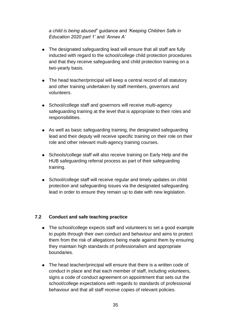*a child is being abused*" guidance and *'Keeping Children Safe in Education 2020 part 1'* and *'Annex A'*

- The designated safeguarding lead will ensure that all staff are fully inducted with regard to the school/college child protection procedures and that they receive safeguarding and child protection training on a two-yearly basis.
- The head teacher/principal will keep a central record of all statutory and other training undertaken by staff members, governors and volunteers.
- School/college staff and governors will receive multi-agency safeguarding training at the level that is appropriate to their roles and responsibilities.
- As well as basic safeguarding training, the designated safeguarding lead and their deputy will receive specific training on their role on their role and other relevant multi-agency training courses.
- Schools/college staff will also receive training on Early Help and the HUB safeguarding referral process as part of their safeguarding training.
- School/college staff will receive regular and timely updates on child protection and safeguarding issues via the designated safeguarding lead in order to ensure they remain up to date with new legislation.

# **7.2 Conduct and safe teaching practice**

- The school/college expects staff and volunteers to set a good example to pupils through their own conduct and behaviour and aims to protect them from the risk of allegations being made against them by ensuring they maintain high standards of professionalism and appropriate boundaries.
- The head teacher/principal will ensure that there is a written code of conduct in place and that each member of staff, including volunteers, signs a code of conduct agreement on appointment that sets out the school/college expectations with regards to standards of professional behaviour and that all staff receive copies of relevant policies.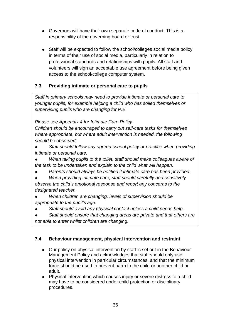- Governors will have their own separate code of conduct. This is a responsibility of the governing board or trust.
- Staff will be expected to follow the school/colleges social media policy in terms of their use of social media, particularly in relation to professional standards and relationships with pupils. All staff and volunteers will sign an acceptable use agreement before being given access to the school/college computer system.

# **7.3 Providing intimate or personal care to pupils**

*Staff in primary schools may need to provide intimate or personal care to younger pupils, for example helping a child who has soiled themselves or supervising pupils who are changing for P.E.*

*Please see Appendix 4 for Intimate Care Policy:*

*Children should be encouraged to carry out self-care tasks for themselves where appropriate, but where adult intervention is needed, the following should be observed;* 

● *Staff should follow any agreed school policy or practice when providing intimate or personal care.* 

● *When taking pupils to the toilet, staff should make colleagues aware of the task to be undertaken and explain to the child what will happen.* 

● *Parents should always be notified if intimate care has been provided.*

● *When providing intimate care, staff should carefully and sensitively observe the child's emotional response and report any concerns to the designated teacher.* 

● *When children are changing, levels of supervision should be appropriate to the pupil's age.* 

● *Staff should avoid any physical contact unless a child needs help.* 

● *Staff should ensure that changing areas are private and that others are not able to enter whilst children are changing.*

# **7.4 Behaviour management, physical intervention and restraint**

- Our policy on physical intervention by staff is set out in the Behaviour Management Policy and acknowledges that staff should only use physical intervention in particular circumstances, and that the minimum force should be used to prevent harm to the child or another child or adult.
- Physical intervention which causes injury or severe distress to a child may have to be considered under child protection or disciplinary procedures.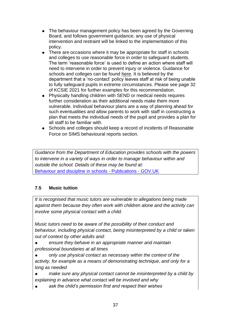- The behaviour management policy has been agreed by the Governing Board, and follows government guidance; any use of physical intervention and restraint will be linked to the implementation of this policy.
- There are occasions where it may be appropriate for staff in schools and colleges to use reasonable force in order to safeguard students. The term 'reasonable force' is used to define an action where staff will need to intervene in order to prevent injury or violence. Guidance for schools and colleges can be found [here.](https://www.gov.uk/government/publications/use-of-reasonable-force-in-schools) It is believed by the department that a 'no-contact' policy leaves staff at risk of being unable to fully safeguard pupils in extreme circumstances. Please see page 32 of KCSIE 2021 for further examples for this recommendation.
- Physically handling children with SEND or medical needs requires further consideration as their additional needs make them more vulnerable. Individual behaviour plans are a way of planning ahead for such eventualities and allow parents to work with staff in constructing a plan that meets the individual needs of the pupil and provides a plan for all staff to be familiar with.
- Schools and colleges should keep a record of incidents of Reasonable Force on SIMS behavioural reports section.

*Guidance from the Department of Education provides schools with the powers to intervene in a variety of ways in order to manage behaviour within and outside the school. Details of these may be found at:* [Behaviour and discipline in schools -](https://www.gov.uk/government/publications/behaviour-and-discipline-in-schools) Publications - GOV.UK

## **7.5 Music tuition**

*It is recognised that music tutors are vulnerable to allegations being made against them because they often work with children alone and the activity can involve some physical contact with a child.* 

*Music tutors need to be aware of the possibility of their conduct and behaviour, including physical contact, being misinterpreted by a child or taken out of context by other adults and:* 

- ensure they behave in an appropriate manner and maintain *professional boundaries at all times*
- *only use physical contact as necessary within the context of the activity, for example as a means of demonstrating technique, and only for a long as needed*
- *make sure any physical contact cannot be misinterpreted by a child by explaining in advance what contact will be involved and why*
- ask the child's permission first and respect their wishes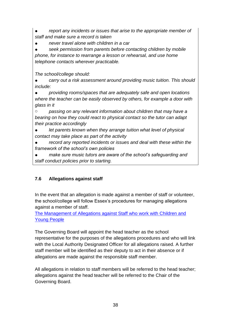*report any incidents or issues that arise to the appropriate member of staff and make sure a record is taken*

● *never travel alone with children in a car*

● *seek permission from parents before contacting children by mobile phone, for instance to rearrange a lesson or rehearsal, and use home telephone contacts wherever practicable.*

*The school/college should:* 

● *carry out a risk assessment around providing music tuition. This should include:*

● *providing rooms/spaces that are adequately safe and open locations where the teacher can be easily observed by others, for example a door with glass in it*

o *passing on any relevant information about children that may have a bearing on how they could react to physical contact so the tutor can adapt their practice accordingly*

● *let parents known when they arrange tuition what level of physical contact may take place as part of the activity*

● *record any reported incidents or issues and deal with these within the framework of the school's own policies*

● *make sure music tutors are aware of the school's safeguarding and staff conduct policies prior to starting.*

# **7.6 Allegations against staff**

In the event that an allegation is made against a member of staff or volunteer, the school/college will follow Essex's procedures for managing allegations against a member of staff.

[The Management of Allegations against Staff who work with Children and](http://croydonlcsb.org.uk/professionals/allegations-complaints/)  [Young People](http://croydonlcsb.org.uk/professionals/allegations-complaints/)

The Governing Board will appoint the head teacher as the school representative for the purposes of the allegations procedures and who will link with the Local Authority Designated Officer for all allegations raised. A further staff member will be identified as their deputy to act in their absence or if allegations are made against the responsible staff member.

All allegations in relation to staff members will be referred to the head teacher; allegations against the head teacher will be referred to the Chair of the Governing Board.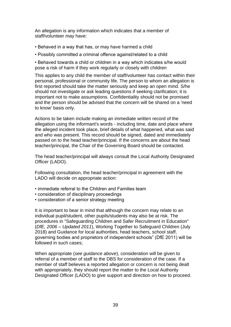An allegation is any information which indicates that a member of staff/volunteer may have:

- Behaved in a way that has, or may have harmed a child
- Possibly committed a criminal offence against/related to a child

• Behaved towards a child or children in a way which indicates s/he would pose a risk of harm if they work regularly or closely with children

This applies to any child the member of staff/volunteer has contact within their personal, professional or community life. The person to whom an allegation is first reported should take the matter seriously and keep an open mind. S/he should not investigate or ask leading questions if seeking clarification; it is important not to make assumptions. Confidentiality should not be promised and the person should be advised that the concern will be shared on a 'need to know' basis only.

Actions to be taken include making an immediate written record of the allegation using the informant's words - including time, date and place where the alleged incident took place, brief details of what happened, what was said and who was present. This record should be signed, dated and immediately passed on to the head teacher/principal. If the concerns are about the head teacher/principal, the Chair of the Governing Board should be contacted.

The head teacher/principal will always consult the Local Authority Designated Officer (LADO).

Following consultation, the head teacher/principal in agreement with the LADO will decide on appropriate action:

- immediate referral to the Children and Families team
- consideration of disciplinary proceedings
- consideration of a senior strategy meeting

It is important to bear in mind that although the concern may relate to an individual pupil/student, other pupils/students may also be at risk. The procedures in "Safeguarding Children and Safer Recruitment in Education" (*DfE, 2006 – Updated 2011*), Working Together to Safeguard Children (July 2018) and Guidance for local authorities, head teachers, school staff, governing bodies and proprietors of independent schools" (DfE 2011) will be followed in such cases;

When appropriate (*see guidance above*), consideration will be given to referral of a member of staff to the DBS for consideration of the case. If a member of staff believes a reported allegation or concern is not being dealt with appropriately, they should report the matter to the Local Authority Designated Officer (LADO) to give support and direction on how to proceed.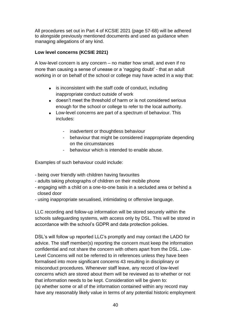All procedures set out in Part 4 of KCSIE 2021 (page 57-68) will be adhered to alongside previously mentioned documents and used as guidance when managing allegations of any kind.

### **Low level concerns (KCSIE 2021)**

A low-level concern is any concern – no matter how small, and even if no more than causing a sense of unease or a 'nagging doubt' - that an adult working in or on behalf of the school or college may have acted in a way that:

- is inconsistent with the staff code of conduct, including inappropriate conduct outside of work
- doesn't meet the threshold of harm or is not considered serious enough for the school or college to refer to the local authority.
- Low-level concerns are part of a spectrum of behaviour. This includes:
	- inadvertent or thoughtless behaviour
	- behaviour that might be considered inappropriate depending on the circumstances
	- behaviour which is intended to enable abuse.

Examples of such behaviour could include:

- being over friendly with children having favourites
- adults taking photographs of children on their mobile phone
- engaging with a child on a one-to-one basis in a secluded area or behind a closed door
- using inappropriate sexualised, intimidating or offensive language.

LLC recording and follow-up information will be stored securely within the schools safeguarding systems, with access only by DSL. This will be stored in accordance with the school's GDPR and data protection policies.

DSL's will follow up reported LLC's promptly and may contact the LADO for advice. The staff member(s) reporting the concern must keep the information confidential and not share the concern with others apart from the DSL. Low-Level Concerns will not be referred to in references unless they have been formalised into more significant concerns 43 resulting in disciplinary or misconduct procedures. Whenever staff leave, any record of low-level concerns which are stored about them will be reviewed as to whether or not that information needs to be kept. Consideration will be given to: (a) whether some or all of the information contained within any record may have any reasonably likely value in terms of any potential historic employment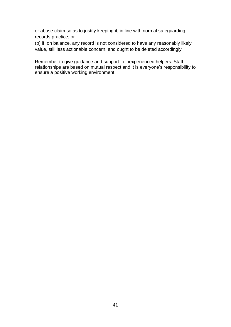or abuse claim so as to justify keeping it, in line with normal safeguarding records practice; or

(b) if, on balance, any record is not considered to have any reasonably likely value, still less actionable concern, and ought to be deleted accordingly

Remember to give guidance and support to inexperienced helpers. Staff relationships are based on mutual respect and it is everyone's responsibility to ensure a positive working environment.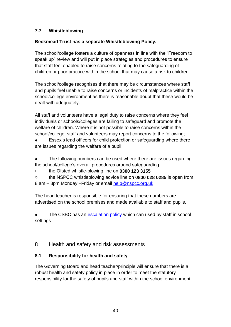## **7.7 Whistleblowing**

### **Beckmead Trust has a separate Whistleblowing Policy.**

The school/college fosters a culture of openness in line with the "Freedom to speak up" review and will put in place strategies and procedures to ensure that staff feel enabled to raise concerns relating to the safeguarding of children or poor practice within the school that may cause a risk to children.

The school/college recognises that there may be circumstances where staff and pupils feel unable to raise concerns or incidents of malpractice within the school/college environment as there is reasonable doubt that these would be dealt with adequately.

All staff and volunteers have a legal duty to raise concerns where they feel individuals or schools/colleges are failing to safeguard and promote the welfare of children. Where it is not possible to raise concerns within the school/college, staff and volunteers may report concerns to the following;

Essex's lead officers for child protection or safeguarding where there are issues regarding the welfare of a pupil;

- The following numbers can be used where there are issues regarding the school/college's overall procedures around safeguarding
- o the Ofsted whistle-blowing line on **0300 123 3155**
- o the NSPCC whistleblowing advice line on **0800 028 0285** is open from 8 am – 8pm Monday – Friday or email [help@nspcc.org.uk](mailto:help@nspcc.org.uk)

The head teacher is responsible for ensuring that these numbers are advertised on the school premises and made available to staff and pupils.

The CSBC has an [escalation policy](http://croydonlcsb.org.uk/professionals/policies/#escalation-policy-) which can used by staff in school settings

## 8 Health and safety and risk assessments

## **8.1 Responsibility for health and safety**

The Governing Board and head teacher/principle will ensure that there is a robust health and safety policy in place in order to meet the statutory responsibility for the safety of pupils and staff within the school environment.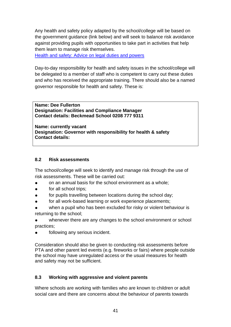Any health and safety policy adapted by the school/college will be based on the government guidance (link below) and will seek to balance risk avoidance against providing pupils with opportunities to take part in activities that help them learn to manage risk themselves.

[Health and safety: Advice on legal duties and powers](https://assets.publishing.service.gov.uk/government/uploads/system/uploads/attachment_data/file/279429/DfE_Health_and_Safety_Advice_06_02_14.pdf)

Day-to-day responsibility for health and safety issues in the school/college will be delegated to a member of staff who is competent to carry out these duties and who has received the appropriate training. There should also be a named governor responsible for health and safety. These is:

**Name: Dee Fullerton Designation: Facilities and Compliance Manager Contact details: Beckmead School 0208 777 9311**

**Name: currently vacant Designation: Governor with responsibility for health & safety Contact details:** 

### **8.2 Risk assessments**

The school/college will seek to identify and manage risk through the use of risk assessments. These will be carried out:

- on an annual basis for the school environment as a whole;
- for all school trips;
- for pupils travelling between locations during the school day;
- for all work-based learning or work experience placements;
- when a pupil who has been excluded for risky or violent behaviour is returning to the school;

whenever there are any changes to the school environment or school practices;

following any serious incident.

Consideration should also be given to conducting risk assessments before PTA and other parent led events (e.g. fireworks or fairs) where people outside the school may have unregulated access or the usual measures for health and safety may not be sufficient.

### **8.3 Working with aggressive and violent parents**

Where schools are working with families who are known to children or adult social care and there are concerns about the behaviour of parents towards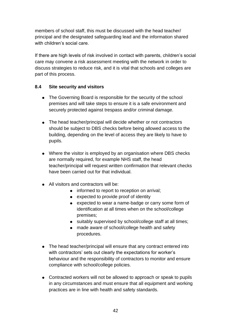members of school staff, this must be discussed with the head teacher/ principal and the designated safeguarding lead and the information shared with children's social care.

If there are high levels of risk involved in contact with parents, children's social care may convene a risk assessment meeting with the network in order to discuss strategies to reduce risk, and it is vital that schools and colleges are part of this process.

### **8.4 Site security and visitors**

- The Governing Board is responsible for the security of the school premises and will take steps to ensure it is a safe environment and securely protected against trespass and/or criminal damage.
- The head teacher/principal will decide whether or not contractors should be subject to DBS checks before being allowed access to the building, depending on the level of access they are likely to have to pupils.
- Where the visitor is employed by an organisation where DBS checks are normally required, for example NHS staff, the head teacher/principal will request written confirmation that relevant checks have been carried out for that individual.
- All visitors and contractors will be:
	- informed to report to reception on arrival;
	- expected to provide proof of identity
	- expected to wear a name-badge or carry some form of identification at all times when on the school/college premises;
	- suitably supervised by school/college staff at all times;
	- made aware of school/college health and safety procedures.
- The head teacher/principal will ensure that any contract entered into with contractors' sets out clearly the expectations for worker's behaviour and the responsibility of contractors to monitor and ensure compliance with school/college policies.
- Contracted workers will not be allowed to approach or speak to pupils in any circumstances and must ensure that all equipment and working practices are in line with health and safety standards.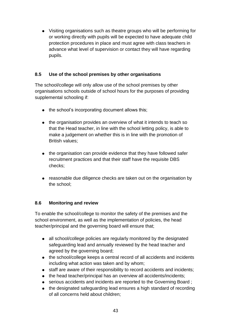● Visiting organisations such as theatre groups who will be performing for or working directly with pupils will be expected to have adequate child protection procedures in place and must agree with class teachers in advance what level of supervision or contact they will have regarding pupils.

### **8.5 Use of the school premises by other organisations**

The school/college will only allow use of the school premises by other organisations schools outside of school hours for the purposes of providing supplemental schooling if:

- the school's incorporating document allows this;
- the organisation provides an overview of what it intends to teach so that the Head teacher, in line with the school letting policy, is able to make a judgement on whether this is in line with the promotion of British values;
- the organisation can provide evidence that they have followed safer recruitment practices and that their staff have the requisite DBS checks;
- reasonable due diligence checks are taken out on the organisation by the school;

### **8.6 Monitoring and review**

To enable the school/college to monitor the safety of the premises and the school environment, as well as the implementation of policies, the head teacher/principal and the governing board will ensure that;

- all school/college policies are regularly monitored by the designated safeguarding lead and annually reviewed by the head teacher and agreed by the governing board;
- the school/college keeps a central record of all accidents and incidents including what action was taken and by whom;
- staff are aware of their responsibility to record accidents and incidents;
- the head teacher/principal has an overview all accidents/incidents;
- serious accidents and incidents are reported to the Governing Board ;
- the designated safeguarding lead ensures a high standard of recording of all concerns held about children;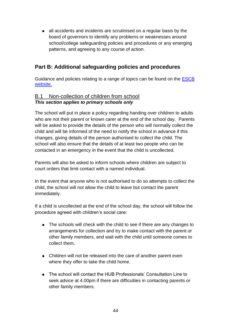● all accidents and incidents are scrutinised on a regular basis by the board of governors to identify any problems or weaknesses around school/college safeguarding policies and procedures or any emerging patterns, and agreeing to any course of action.

# **Part B: Additional safeguarding policies and procedures**

Guidance and policies relating to a range of topics can be found on the [ESCB](https://www.escb.co.uk/2423)  [website.](https://www.escb.co.uk/2423)

## B.1 Non-collection of children from school *This section applies to primary schools only*

The school will put in place a policy regarding handing over children to adults who are not their parent or known carer at the end of the school day. Parents will be asked to provide the details of the person who will normally collect the child and will be informed of the need to notify the school in advance if this changes, giving details of the person authorised to collect the child. The school will also ensure that the details of at least two people who can be contacted in an emergency in the event that the child is uncollected.

Parents will also be asked to inform schools where children are subject to court orders that limit contact with a named individual.

In the event that anyone who is not authorised to do so attempts to collect the child, the school will not allow the child to leave but contact the parent immediately.

If a child is uncollected at the end of the school day, the school will follow the procedure agreed with children's social care:

- The schools will check with the child to see if there are any changes to arrangements for collection and try to make contact with the parent or other family members, and wait with the child until someone comes to collect them.
- Children will not be released into the care of another parent even where they offer to take the child home.
- The school will contact the HUB Professionals' Consultation Line to seek advice at 4.00pm if there are difficulties in contacting parents or other family members.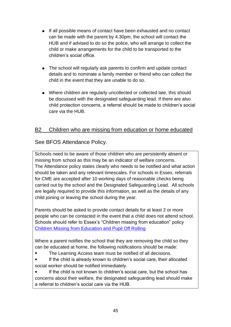- If all possible means of contact have been exhausted and no contact can be made with the parent by 4.30pm, the school will contact the HUB and if advised to do so the police, who will arrange to collect the child or make arrangements for the child to be transported to the children's social office.
- The school will regularly ask parents to confirm and update contact details and to nominate a family member or friend who can collect the child in the event that they are unable to do so.
- Where children are regularly uncollected or collected late, this should be discussed with the designated safeguarding lead. If there are also child protection concerns, a referral should be made to children's social care via the HUB.

# B2 Children who are missing from education or home educated

# See BFOS Attendance Policy.

Schools need to be aware of those children who are persistently absent or missing from school as this may be an indicator of welfare concerns. The Attendance policy states clearly who needs to be notified and what action should be taken and any relevant timescales. For schools in Essex, referrals for CME are accepted after 10 working days of reasonable checks being carried out by the school and the Designated Safeguarding Lead. All schools are legally required to provide this information, as well as the details of any child joining or leaving the school during the year.

Parents should be asked to provide contact details for at least 2 or more people who can be contacted in the event that a child does not attend school. Schools should refer to Essex's "Children missing from education" policy [Children Missing from Education and Pupil Off Rolling](https://www.croydon.gov.uk/sites/default/files/articles/downloads/cme.guidance.pdf)

Where a parent notifies the school that they are removing the child so they can be educated at home, the following notifications should be made:

- The Learning Access team must be notified of all decisions.
- If the child is already known to children's social care, their allocated social worker should be notified immediately.

● If the child is not known to children's social care, but the school has concerns about their welfare, the designated safeguarding lead should make a referral to children's social care via the HUB.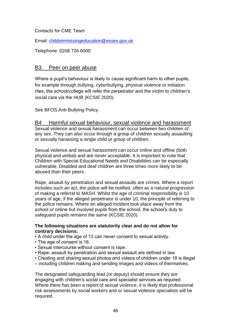Contacts for CME Team

Email: [childrenmissingeducation@essex.gov.uk](mailto:childrenmissingeducation@essex.gov.uk)

Telephone: 0208 726 6000

### B3 Peer on peer abuse

Where a pupil's behaviour is likely to cause significant harm to other pupils, for example through bullying, cyberbullying, physical violence or initiation rites, the school/college will refer the perpetrator and the victim to children's social care via the HUB (KCSIE 2020).

See BFOS Anti-Bullying Policy.

B4 Harmful sexual behaviour, sexual violence and harassment Sexual violence and sexual harassment can occur between two children of any sex. They can also occur through a group of children sexually assaulting or sexually harassing a single child or group of children.

Sexual violence and sexual harassment can occur online and offline (both physical and verbal) and are never acceptable. It is important to note that Children with Special Educational Needs and Disabilities can be especially vulnerable. Disabled and deaf children are three times more likely to be abused than their peers.

Rape, assault by penetration and sexual assaults are crimes. Where a report includes such an act, the police will be notified, often as a natural progression of making a referral to MASH. Whilst the age of criminal responsibility is 10 years of age, if the alleged perpetrator is under 10, the principle of referring to the police remains. Where an alleged incident took place away from the school or online but involved pupils from the school, the school's duty to safeguard pupils remains the same (KCSIE 2020).

#### **The following situations are statutorily clear and do not allow for contrary decisions:**

- A child under the age of 13 can never consent to sexual activity.
- The age of consent is 16.
- Sexual intercourse without consent is rape.
- Rape, assault by penetration and sexual assault are defined in law.
- Creating and sharing sexual photos and videos of children under 18 is illegal
- including children making and sending images and videos of themselves.

The designated safeguarding lead (or deputy) should ensure they are engaging with children's social care and specialist services as required. Where there has been a report of sexual violence, it is likely that professional risk assessments by social workers and or sexual violence specialists will be required.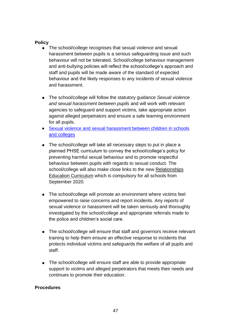#### **Policy**

- The school/college recognises that sexual violence and sexual harassment between pupils is a serious safeguarding issue and such behaviour will not be tolerated. School/college behaviour management and anti-bullying policies will reflect the school/college's approach and staff and pupils will be made aware of the standard of expected behaviour and the likely responses to any incidents of sexual violence and harassment.
- The school/college will follow the statutory guidance *Sexual violence and sexual harassment between pupils* and will work with relevant agencies to safeguard and support victims, take appropriate action against alleged perpetrators and ensure a safe learning environment for all pupils.
- Sexual violence and sexual harassment between children in schools [and colleges](https://assets.publishing.service.gov.uk/government/uploads/system/uploads/attachment_data/file/719902/Sexual_violence_and_sexual_harassment_between_children_in_schools_and_colleges.pdf)
- The school/college will take all necessary steps to put in place a planned PHSE curriculum to convey the school/college's policy for preventing harmful sexual behaviour and to promote respectful behaviour between pupils with regards to sexual conduct. The school/college will also make close links to the new [Relationships](https://www.gov.uk/government/publications/relationships-education-relationships-and-sex-education-rse-and-health-education)  [Education Curriculum](https://www.gov.uk/government/publications/relationships-education-relationships-and-sex-education-rse-and-health-education) which is compulsory for all schools from September 2020.
- The school/college will promote an environment where victims feel empowered to raise concerns and report incidents. Any reports of sexual violence or harassment will be taken seriously and thoroughly investigated by the school/college and appropriate referrals made to the police and children's social care.
- The school/college will ensure that staff and governors receive relevant training to help them ensure an effective response to incidents that protects individual victims and safeguards the welfare of all pupils and staff.
- The school/college will ensure staff are able to provide appropriate support to victims and alleged perpetrators that meets their needs and continues to promote their education.

#### **Procedures**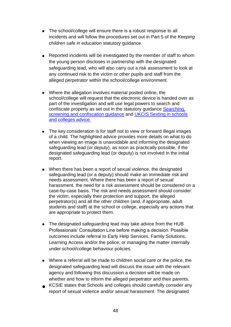- The school/college will ensure there is a robust response to all incidents and will follow the procedures set out in Part 5 of the *Keeping children safe in education* statutory guidance.
- Reported incidents will be investigated by the member of staff to whom the young person discloses in partnership with the designated safeguarding lead, who will also carry out a risk assessment to look at any continued risk to the victim or other pupils and staff from the alleged perpetrator within the school/college environment.
- Where the allegation involves material posted online, the school/college will request that the electronic device is handed over as part of the investigation and will use legal powers to search and confiscate property as set out in the statutory guidance [Searching,](https://assets.publishing.service.gov.uk/government/uploads/system/uploads/attachment_data/file/674416/Searching_screening_and_confiscation.pdf)  [screening and confiscation guidance](https://assets.publishing.service.gov.uk/government/uploads/system/uploads/attachment_data/file/674416/Searching_screening_and_confiscation.pdf) and UKCIS Sexting in schools [and colleges advice.](https://www.gov.uk/government/publications/sexting-in-schools-and-colleges)
- The key consideration is for staff not to view or forward illegal images of a child. The highlighted advice provides more details on what to do when viewing an image is unavoidable and informing the designated safeguarding lead (or deputy), as soon as practically possible, if the designated safeguarding lead (or deputy) is not involved in the initial report.
- When there has been a report of sexual violence, the designated safeguarding lead (or a deputy) should make an immediate risk and needs assessment. Where there has been a report of sexual harassment, the need for a risk assessment should be considered on a case-by-case basis. The risk and needs assessment should consider: the victim, especially their protection and support, the alleged perpetrator(s) and all the other children (and, if appropriate, adult students and staff) at the school or college, especially any actions that are appropriate to protect them.
- The designated safeguarding lead may take advice from the HUB Professionals' Consultation Line before making a decision. Possible outcomes include referral to Early Help Services, Family Solutions, Learning Access and/or the police, or managing the matter internally under school/college behaviour policies.
- Where a referral will be made to children social care or the police, the designated safeguarding lead will discuss the issue with the relevant agency and following this discussion a decision will be made on whether and how to inform the alleged perpetrator and their parents.
- KCSIE states that Schools and colleges should carefully consider any report of sexual violence and/or sexual harassment. The designated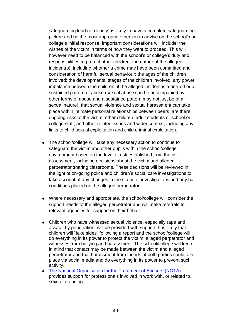safeguarding lead (or deputy) is likely to have a complete safeguarding picture and be the most appropriate person to advise on the school's or college's initial response. Important considerations will include: the wishes of the victim in terms of how they want to proceed. This will however need to be balanced with the school's or college's duty and responsibilities to protect other children; the nature of the alleged incident(s), including whether a crime may have been committed and consideration of harmful sexual behaviour; the ages of the children involved; the developmental stages of the children involved; any power imbalance between the children; if the alleged incident is a one-off or a sustained pattern of abuse (sexual abuse can be accompanied by other forms of abuse and a sustained pattern may not just be of a sexual nature); that sexual violence and sexual harassment can take place within intimate personal relationships between peers; are there ongoing risks to the victim, other children, adult students or school or college staff; and other related issues and wider context, including any links to child sexual exploitation and child criminal exploitation.

- The school/college will take any necessary action to continue to safeguard the victim and other pupils within the school/college environment based on the level of risk established from the risk assessment, including decisions about the victim and alleged perpetrator sharing classrooms. These decisions will be reviewed in the light of on-going police and children's social care investigations to take account of any changes in the status of investigations and any bail conditions placed on the alleged perpetrator.
- Where necessary and appropriate, the school/college will consider the support needs of the alleged perpetrator and will make referrals to relevant agencies for support on their behalf.
- Children who have witnessed sexual violence, especially rape and assault by penetration, will be provided with support. It is likely that children will "take sides" following a report and the school/college will do everything in its power to protect the victim, alleged perpetrator and witnesses from bullying and harassment. The school/college will keep in mind that contact may be made between the victim and alleged perpetrator and that harassment from friends of both parties could take place via social media and do everything in its power to prevent such activity.
- [The National Organisation for the Treatment of Abusers \(NOTA\)](https://www.nota.co.uk/) provides support for professionals involved in work with, or related to, sexual offending.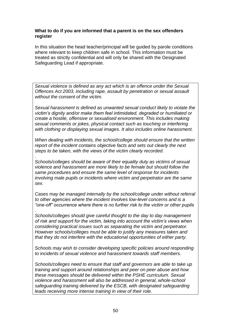#### **What to do if you are informed that a parent is on the sex offenders register**

In this situation the head teacher/principal will be guided by parole conditions where relevant to keep children safe in school. This information must be treated as strictly confidential and will only be shared with the Designated Safeguarding Lead if appropriate.

*Sexual violence is defined as any act which is an offence under the Sexual Offences Act 2003, including rape, assault by penetration or sexual assault without the consent of the victim.*

*Sexual harassment is defined as unwanted sexual conduct likely to violate the victim's dignity and/or make them feel intimidated, degraded or humiliated or create a hostile, offensive or sexualised environment. This includes making sexual comments or jokes, physical contact such as touching or interfering with clothing or displaying sexual images. It also includes online harassment.*

*When dealing with incidents, the school/college should ensure that the written report of the incident contains objective facts and sets out clearly the next steps to be taken, with the views of the victim clearly recorded.*

*Schools/colleges should be aware of their equality duty as victims of sexual violence and harassment are more likely to be female but should follow the same procedures and ensure the same level of response for incidents involving male pupils or incidents where victim and perpetrator are the same sex.*

*.*

*Cases may be managed internally by the school/college under without referral to other agencies where the incident involves low-level concerns and is a "one-off" occurrence where there is no further risk to the victim or other pupils*

*. Schools/colleges should give careful thought to the day to day management of risk and support for the victim, taking into account the victim's views when considering practical issues such as separating the victim and perpetrator. However schools/colleges must be able to justify any measures taken and that they do not interfere with the educational opportunities of either party.*

*Schools may wish to consider developing specific policies around responding to incidents of sexual violence and harassment towards staff members.*

*Schools/colleges need to ensure that staff and governors are able to take up training and support around relationships and peer on peer abuse and how these messages should be delivered within the PSHE curriculum. Sexual violence and harassment will also be addressed in general, whole-school safeguarding training delivered by the ESCB, with designated safeguarding leads receiving more intense training in view of their role.*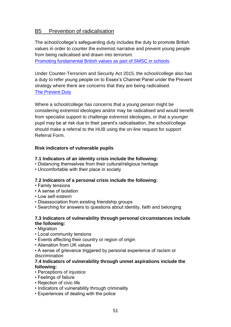# B5 Prevention of radicalisation

The school/college's safeguarding duty includes the duty to promote British values in order to counter the extremist narrative and prevent young people from being radicalised and drawn into terrorism.

[Promoting fundamental British values as part of SMSC in schools](https://assets.publishing.service.gov.uk/government/uploads/system/uploads/attachment_data/file/380595/SMSC_Guidance_Maintained_Schools.pdf)

Under Counter-Terrorism and Security Act 2015, the school/college also has a duty to refer young people on to Essex's Channel Panel under the Prevent strategy where there are concerns that they are being radicalised. [The Prevent Duty](https://assets.publishing.service.gov.uk/government/uploads/system/uploads/attachment_data/file/439598/prevent-duty-departmental-advice-v6.pdf)

Where a school/college has concerns that a young person might be considering extremist ideologies and/or may be radicalised and would benefit from specialist support to challenge extremist ideologies, or that a younger pupil may be at risk due to their parent's radicalisation, the school/college should make a referral to the HUB using the on-line request for support Referral Form.

#### **Risk indicators of vulnerable pupils**

#### **7.1 Indicators of an identity crisis include the following:**

- Distancing themselves from their cultural/religious heritage
- Uncomfortable with their place in society

#### **7.2 Indicators of a personal crisis include the following:**

- Family tensions
- A sense of isolation
- Low self-esteem
- Disassociation from existing friendship groups
- Searching for answers to questions about identity, faith and belonging

#### **7.3 Indicators of vulnerability through personal circumstances include the following:**

• Migration

- Local community tensions
- Events affecting their country or region of origin
- Alienation from UK values

• A sense of grievance triggered by personal experience of racism or discrimination

#### **7.4 Indicators of vulnerability through unmet aspirations include the following:**

- Perceptions of injustice
- Feelings of failure
- Rejection of civic life
- Indicators of vulnerability through criminality
- Experiences of dealing with the police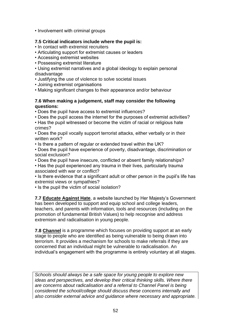• Involvement with criminal groups

#### **7.5 Critical indicators include where the pupil is:**

- In contact with extremist recruiters
- Articulating support for extremist causes or leaders
- Accessing extremist websites
- Possessing extremist literature
- Using extremist narratives and a global ideology to explain personal disadvantage
- Justifying the use of violence to solve societal issues
- Joining extremist organisations
- Making significant changes to their appearance and/or behaviour

#### **7.6 When making a judgement, staff may consider the following questions:**

• Does the pupil have access to extremist influences?

• Does the pupil access the internet for the purposes of extremist activities?

• Has the pupil witnessed or become the victim of racial or religious hate crimes?

• Does the pupil vocally support terrorist attacks, either verbally or in their written work?

• Is there a pattern of regular or extended travel within the UK?

• Does the pupil have experience of poverty, disadvantage, discrimination or social exclusion?

- Does the pupil have insecure, conflicted or absent family relationships?
- Has the pupil experienced any trauma in their lives, particularly trauma associated with war or conflict?
- Is there evidence that a significant adult or other person in the pupil's life has extremist views or sympathies?
- Is the pupil the victim of social isolation?

**7.7 [Educate Against Hate](https://educateagainsthate.com/)**, a website launched by Her Majesty's Government has been developed to support and equip school and college leaders, teachers, and parents with information, tools and resources (including on the promotion of fundamental British Values) to help recognise and address extremism and radicalisation in young people.

**7.8 [Channel](https://assets.publishing.service.gov.uk/government/uploads/system/uploads/attachment_data/file/425189/Channel_Duty_Guidance_April_2015.pdf)** is a programme which focuses on providing support at an early stage to people who are identified as being vulnerable to being drawn into terrorism. It provides a mechanism for schools to make referrals if they are concerned that an individual might be vulnerable to radicalisation. An individual's engagement with the programme is entirely voluntary at all stages.

*Schools should always be a safe space for young people to explore new ideas and perspectives, and develop their critical thinking skills. Where there are concerns about radicalisation and a referral to Channel Panel is being considered the school/college should discuss these concerns internally and also consider external advice and guidance where necessary and appropriate.*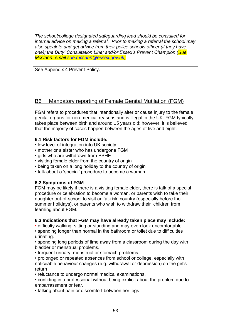*The school/college designated safeguarding lead should be consulted for internal advice on making a referral. Prior to making a referral the school may also speak to and get advice from their police schools officer (if they have one); the Duty' Consultation Line; and/or Essex's Prevent Champion (Sue McCann: email [sue.mccann@essex.gov.uk;](mailto:sue.mccann@essex.gov.uk)*

See Appendix 4 Prevent Policy.

# B6 Mandatory reporting of Female Genital Mutilation (FGM)

FGM refers to procedures that intentionally alter or cause injury to the female genital organs for non-medical reasons and is illegal in the UK. FGM typically takes place between birth and around 15 years old; however, it is believed that the majority of cases happen between the ages of five and eight.

### **6.1 Risk factors for FGM include:**

- low level of integration into UK society
- mother or a sister who has undergone FGM
- girls who are withdrawn from PSHE
- visiting female elder from the country of origin
- being taken on a long holiday to the country of origin
- talk about a 'special' procedure to become a woman

### **6.2 Symptoms of FGM**

FGM may be likely if there is a visiting female elder, there is talk of a special procedure or celebration to become a woman, or parents wish to take their daughter out-of-school to visit an 'at-risk' country (especially before the summer holidays), or parents who wish to withdraw their children from learning about FGM.

### **6.3 Indications that FGM may have already taken place may include:**

• difficulty walking, sitting or standing and may even look uncomfortable.

• spending longer than normal in the bathroom or toilet due to difficulties urinating.

• spending long periods of time away from a classroom during the day with bladder or menstrual problems.

• frequent urinary, menstrual or stomach problems.

• prolonged or repeated absences from school or college, especially with noticeable behaviour changes (e.g. withdrawal or depression) on the girl's return

• reluctance to undergo normal medical examinations.

• confiding in a professional without being explicit about the problem due to embarrassment or fear.

• talking about pain or discomfort between her legs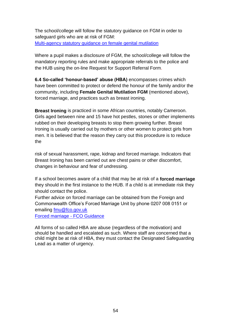The school/college will follow the statutory guidance on FGM in order to safeguard girls who are at risk of FGM: [Multi-agency statutory guidance on female genital mutilation](https://assets.publishing.service.gov.uk/government/uploads/system/uploads/attachment_data/file/746560/6-1914-HO-Multi_Agency_Statutory_Guidance_on_FGM__-_MASTER_V7_-_FINAL_-_Amended081018.pdf)

Where a pupil makes a disclosure of FGM, the school/college will follow the mandatory reporting rules and make appropriate referrals to the police and the HUB using the on-line Request for Support Referral Form.

**6.4 So-called 'honour-based' abuse (HBA)** encompasses crimes which have been committed to protect or defend the honour of the family and/or the community, including **Female Genital Mutilation FGM** (mentioned above), forced marriage, and practices such as breast ironing.

**Breast Ironing** is practiced in some African countries, notably Cameroon. Girls aged between nine and 15 have hot pestles, stones or other implements rubbed on their developing breasts to stop them growing further. Breast Ironing is usually carried out by mothers or other women to protect girls from men. It is believed that the reason they carry out this procedure is to reduce the

risk of sexual harassment, rape, kidnap and forced marriage. Indicators that Breast Ironing has been carried out are chest pains or other discomfort, changes in behaviour and fear of undressing.

If a school becomes aware of a child that may be at risk of a **forced marriage** they should in the first instance to the HUB. If a child is at immediate risk they should contact the police.

Further advice on forced marriage can be obtained from the Foreign and Commonwealth Office's Forced Marriage Unit by phone 0207 008 0151 or emailing [fmu@fco.gov.uk](mailto:fmu@fco.gov.uk)

[Forced marriage -](https://www.gov.uk/guidance/forced-marriage) FCO Guidance

All forms of so called HBA are abuse (regardless of the motivation) and should be handled and escalated as such. Where staff are concerned that a child might be at risk of HBA, they must contact the Designated Safeguarding Lead as a matter of urgency.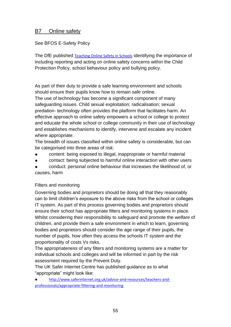## B7 Online safety

See BFOS E-Safety Policy

The DfE published [Teaching Online Safety in Schools](https://www.gov.uk/government/publications/teaching-online-safety-in-schools) identifying the importance of including reporting and acting on online safety concerns within the Child Protection Policy, school behaviour policy and bullying policy.

As part of their duty to provide a safe learning environment and schools should ensure their pupils know how to remain safe online.

The use of technology has become a significant component of many safeguarding issues. Child sexual exploitation; radicalisation; sexual predation- technology often provides the platform that facilitates harm. An effective approach to online safety empowers a school or college to protect and educate the whole school or college community in their use of technology and establishes mechanisms to identify, intervene and escalate any incident where appropriate.

The breadth of issues classified within online safety is considerable, but can be categorised into three areas of risk:

- content: being exposed to illegal, inappropriate or harmful material
- contact: being subjected to harmful online interaction with other users

conduct: personal online behaviour that increases the likelihood of, or causes, harm

### Filters and monitoring

Governing bodies and proprietors should be doing all that they reasonably can to limit children's exposure to the above risks from the school or colleges IT system. As part of this process governing bodies and proprietors should ensure their school has appropriate filters and monitoring systems in place. Whilst considering their responsibility to safeguard and promote the welfare of children, and provide them a safe environment in which to learn, governing bodies and proprietors should consider the age range of their pupils, the number of pupils, how often they access the schools IT system and the proportionality of costs Vs risks.

The appropriateness of any filters and monitoring systems are a matter for individual schools and colleges and will be informed in part by the risk assessment required by the Prevent Duty.

The UK Safer Internet Centre has published guidance as to what "appropriate" might look like:

● [http://www.saferinternet.org.uk/advice-and-resources/teachers-and](http://www.saferinternet.org.uk/advice-and-resources/teachers-and-professionals/appropriate-filtering-and-monitoring)[professionals/appropriate-filtering-and-monitoring](http://www.saferinternet.org.uk/advice-and-resources/teachers-and-professionals/appropriate-filtering-and-monitoring)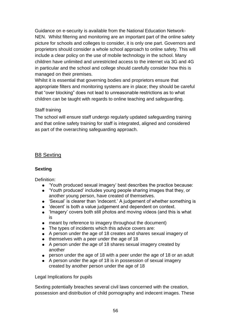Guidance on e-security is available from the National Education Network-NEN. Whilst filtering and monitoring are an important part of the online safety picture for schools and colleges to consider, it is only one part. Governors and proprietors should consider a whole school approach to online safety. This will include a clear policy on the use of mobile technology in the school. Many children have unlimited and unrestricted access to the internet via 3G and 4G in particular and the school and college should carefully consider how this is managed on their premises.

Whilst it is essential that governing bodies and proprietors ensure that appropriate filters and monitoring systems are in place; they should be careful that "over blocking" does not lead to unreasonable restrictions as to what children can be taught with regards to online teaching and safeguarding.

### Staff training

The school will ensure staff undergo regularly updated safeguarding training and that online safety training for staff is integrated, aligned and considered as part of the overarching safeguarding approach.

# B8 Sexting

### **Sexting**

Definition:

- 'Youth produced sexual imagery' best describes the practice because:
- 'Youth produced' includes young people sharing images that they, or another young person, have created of themselves.
- 'Sexual' is clearer than 'indecent.' A judgement of whether something is
- 'decent' is both a value judgement and dependent on context.
- 'Imagery' covers both still photos and moving videos (and this is what is
- meant by reference to imagery throughout the document)
- The types of incidents which this advice covers are:
- A person under the age of 18 creates and shares sexual imagery of
- themselves with a peer under the age of 18
- A person under the age of 18 shares sexual imagery created by another
- person under the age of 18 with a peer under the age of 18 or an adult
- A person under the age of 18 is in possession of sexual imagery created by another person under the age of 18

Legal Implications for pupils

Sexting potentially breaches several civil laws concerned with the creation, possession and distribution of child pornography and indecent images. These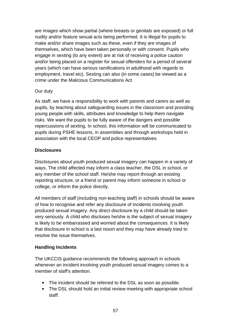are images which show partial (where breasts or genitals are exposed) or full nudity and/or feature sexual acts being performed. It is illegal for pupils to make and/or share images such as these, even if they are images of themselves, which have been taken personally or with consent. Pupils who engage in sexting (to any extent) are at risk of receiving a police caution and/or being placed on a register for sexual offenders for a period of several years (which can have serious ramifications in adulthood with regards to employment, travel etc). Sexting can also (in some cases) be viewed as a crime under the Malicious Communications Act.

### Our duty

As staff, we have a responsibility to work with parents and carers as well as pupils, by teaching about safeguarding issues in the classroom and providing young people with skills, attributes and knowledge to help them navigate risks. We want the pupils to be fully aware of the dangers and possible repercussions of sexting. In school, this information will be communicated to pupils during PSHE lessons, in assemblies and through workshops held in association with the local CEOP and police representatives.

### **Disclosures**

Disclosures about youth produced sexual imagery can happen in a variety of ways. The child affected may inform a class teacher, the DSL in school, or any member of the school staff. He/she may report through an existing reporting structure, or a friend or parent may inform someone in school or college, or inform the police directly.

All members of staff (including non-teaching staff) in schools should be aware of how to recognise and refer any disclosure of incidents involving youth produced sexual imagery. Any direct disclosure by a child should be taken very seriously. A child who discloses he/she is the subject of sexual imagery is likely to be embarrassed and worried about the consequences. It is likely that disclosure in school is a last resort and they may have already tried to resolve the issue themselves.

### **Handling Incidents**

The UKCCIS guidance recommends the following approach in schools whenever an incident involving youth produced sexual imagery comes to a member of staff's attention.

- The incident should be referred to the DSL as soon as possible.
- The DSL should hold an initial review meeting with appropriate school staff.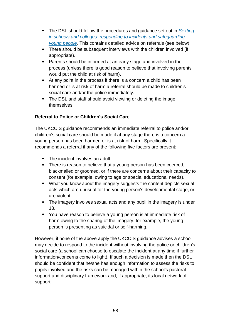- The DSL should follow the procedures and guidance set out in *[Sexting](https://www.gov.uk/government/uploads/system/uploads/attachment_data/file/551575/6.2439_KG_NCA_Sexting_in_Schools_WEB__1_.PDF)  [in schools and colleges: responding to incidents and safeguarding](https://www.gov.uk/government/uploads/system/uploads/attachment_data/file/551575/6.2439_KG_NCA_Sexting_in_Schools_WEB__1_.PDF)  [young people](https://www.gov.uk/government/uploads/system/uploads/attachment_data/file/551575/6.2439_KG_NCA_Sexting_in_Schools_WEB__1_.PDF)*. This contains detailed advice on referrals (see below).
- There should be subsequent interviews with the children involved (if appropriate).
- Parents should be informed at an early stage and involved in the process (unless there is good reason to believe that involving parents would put the child at risk of harm).
- At any point in the process if there is a concern a child has been harmed or is at risk of harm a referral should be made to children's social care and/or the police immediately.
- The DSL and staff should avoid viewing or deleting the image themselves

## **Referral to Police or Children's Social Care**

The UKCCIS guidance recommends an immediate referral to police and/or children's social care should be made if at any stage there is a concern a young person has been harmed or is at risk of harm. Specifically it recommends a referral if any of the following five factors are present:

- The incident involves an adult.
- There is reason to believe that a young person has been coerced, blackmailed or groomed, or if there are concerns about their capacity to consent (for example, owing to age or special educational needs).
- What you know about the imagery suggests the content depicts sexual acts which are unusual for the young person's developmental stage, or are violent.
- The imagery involves sexual acts and any pupil in the imagery is under 13.
- You have reason to believe a young person is at immediate risk of harm owing to the sharing of the imagery, for example, the young person is presenting as suicidal or self-harming.

However, if none of the above apply the UKCCIS guidance advises a school may decide to respond to the incident without involving the police or children's social care (a school can choose to escalate the incident at any time if further information/concerns come to light). If such a decision is made then the DSL should be confident that he/she has enough information to assess the risks to pupils involved and the risks can be managed within the school's pastoral support and disciplinary framework and, if appropriate, its local network of support.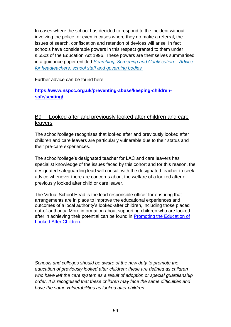In cases where the school has decided to respond to the incident without involving the police, or even in cases where they do make a referral, the issues of search, confiscation and retention of devices will arise. In fact schools have considerable powers in this respect granted to them under s.550z of the Education Act 1996. These powers are themselves summarised in a guidance paper entitled *[Searching, Screening and Confiscation –](https://www.gov.uk/government/uploads/system/uploads/attachment_data/file/444053/Searching_screening_confiscation_advice_Reviewed_July_2015.pdf) Advice [for headteachers, school staff and governing bodies.](https://www.gov.uk/government/uploads/system/uploads/attachment_data/file/444053/Searching_screening_confiscation_advice_Reviewed_July_2015.pdf)*

Further advice can be found here:

## **[https://www.nspcc.org.uk/preventing-abuse/keeping-children](https://www.nspcc.org.uk/preventing-abuse/keeping-children-safe/sexting/)[safe/sexting/](https://www.nspcc.org.uk/preventing-abuse/keeping-children-safe/sexting/)**

# B9 Looked after and previously looked after children and care leavers

The school/college recognises that looked after and previously looked after children and care leavers are particularly vulnerable due to their status and their pre-care experiences.

The school/college's designated teacher for LAC and care leavers has specialist knowledge of the issues faced by this cohort and for this reason, the designated safeguarding lead will consult with the designated teacher to seek advice whenever there are concerns about the welfare of a looked after or previously looked after child or care leaver.

The Virtual School Head is the lead responsible officer for ensuring that arrangements are in place to improve the educational experiences and outcomes of a local authority's looked-after children, including those placed out-of-authority. More information about supporting children who are looked after in achieving their potential can be found in [Promoting the Education of](https://www.gov.uk/government/publications/promoting-the-education-of-looked-after-children)  [Looked After Children.](https://www.gov.uk/government/publications/promoting-the-education-of-looked-after-children)

*Schools and colleges should be aware of the new duty to promote the education of previously looked after children; these are defined as children who have left the care system as a result of adoption or special guardianship order. It is recognised that these children may face the same difficulties and have the same vulnerabilities as looked after children.*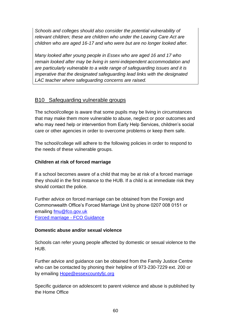*Schools and colleges should also consider the potential vulnerability of relevant children; these are children who under the Leaving Care Act are children who are aged 16-17 and who were but are no longer looked after.* 

*Many looked after young people in Essex who are aged 16 and 17 who remain looked after may be living in semi-independent accommodation and are particularly vulnerable to a wide range of safeguarding issues and it is imperative that the designated safeguarding lead links with the designated LAC teacher where safeguarding concerns are raised.*

# B10 Safeguarding vulnerable groups

The school/college is aware that some pupils may be living in circumstances that may make them more vulnerable to abuse, neglect or poor outcomes and who may need help or intervention from Early Help Services, children's social care or other agencies in order to overcome problems or keep them safe.

The school/college will adhere to the following policies in order to respond to the needs of these vulnerable groups.

### **Children at risk of forced marriage**

If a school becomes aware of a child that may be at risk of a forced marriage they should in the first instance to the HUB. If a child is at immediate risk they should contact the police.

Further advice on forced marriage can be obtained from the Foreign and Commonwealth Office's Forced Marriage Unit by phone 0207 008 0151 or emailing [fmu@fco.gov.uk](mailto:fmu@fco.gov.uk) [Forced marriage -](https://www.gov.uk/guidance/forced-marriage) FCO Guidance

### **Domestic abuse and/or sexual violence**

Schools can refer young people affected by domestic or sexual violence to the HUB.

Further advice and guidance can be obtained from the Family Justice Centre who can be contacted by phoning their helpline of 973-230-7229 ext. 200 or by emailing **Hope@essexcountyfic.org** 

Specific guidance on adolescent to parent violence and abuse is published by the Home Office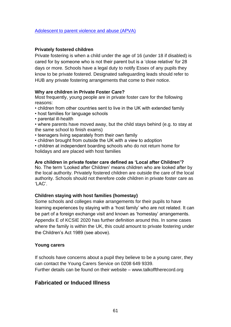#### **Privately fostered children**

Private fostering is when a child under the age of 16 (under 18 if disabled) is cared for by someone who is not their parent but is a 'close relative' for 28 days or more. Schools have a legal duty to notify Essex of any pupils they know to be private fostered. Designated safeguarding leads should refer to HUB any private fostering arrangements that come to their notice.

#### **Why are children in Private Foster Care?**

Most frequently, young people are in private foster care for the following reasons:

- children from other countries sent to live in the UK with extended family
- host families for language schools
- parental ill-health
- where parents have moved away, but the child stays behind (e.g. to stay at the same school to finish exams)
- teenagers living separately from their own family
- children brought from outside the UK with a view to adoption
- children at independent boarding schools who do not return home for holidays and are placed with host families

#### **Are children in private foster care defined as 'Local after Children'?**

No. The term 'Looked after Children' means children who are looked after by the local authority. Privately fostered children are outside the care of the local authority. Schools should not therefore code children in private foster care as 'LAC'.

### **Children staying with host families (homestay)**

Some schools and colleges make arrangements for their pupils to have learning experiences by staying with a 'host family' who are not related. It can be part of a foreign exchange visit and known as 'homestay' arrangements. Appendix E of KCSIE 2020 has further definition around this. In some cases where the family is within the UK, this could amount to private fostering under the Children's Act 1989 (see above).

### **Young carers**

If schools have concerns about a pupil they believe to be a young carer, they can contact the Young Carers Service on 0208 649 9339. Further details can be found on their website – [www.talkofftherecord.org](http://www.talkofftherecord.org/) 

## **Fabricated or Induced Illness**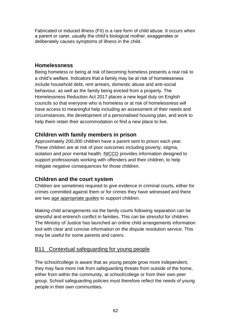Fabricated or induced illness (FII) is a rare form of child abuse. It occurs when a parent or carer, usually the child's biological mother, exaggerates or deliberately causes symptoms of illness in the child.

# **Homelessness**

Being homeless or being at risk of becoming homeless presents a real risk to a child's welfare. Indicators that a family may be at risk of homelessness include household debt, rent arrears, domestic abuse and anti-social behaviour, as well as the family being evicted from a property. The Homelessness Reduction Act 2017 places a new legal duty on English councils so that everyone who is homeless or at risk of homelessness will have access to meaningful help including an assessment of their needs and circumstances, the development of a personalised housing plan, and work to help them retain their accommodation or find a new place to live.

# **Children with family members in prison**

Approximately 200,000 children have a parent sent to prison each year. These children are at risk of poor outcomes including poverty, stigma, isolation and poor mental health. [NICCO](https://www.nicco.org.uk/) provides information designed to support professionals working with offenders and their children, to help mitigate negative consequences for those children.

# **Children and the court system**

Children are sometimes required to give evidence in criminal courts, either for crimes committed against them or for crimes they have witnessed and there are two [age appropriate guides](http://www.socialworkerstoolbox.com/going-court-booklet-children-young-people-going-witnesses-crown-magistrates-youth-court/) to support children.

Making child arrangements via the family courts following separation can be stressful and entrench conflict in families. This can be stressful for children. The Ministry of Justice has launched an online child arrangements information tool with clear and concise information on the dispute resolution service. This may be useful for some parents and carers.

# B11 Contextual safeguarding for young people

The school/college is aware that as young people grow more independent, they may face more risk from safeguarding threats from outside of the home, either from within the community, at school/college or from their own peer group. School safeguarding policies must therefore reflect the needs of young people in their own communities.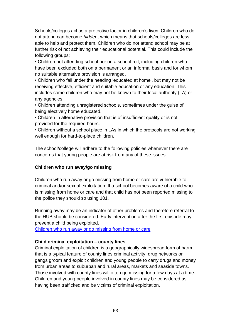Schools/colleges act as a protective factor in children's lives. Children who do not attend can become *hidden*, which means that schools/colleges are less able to help and protect them. Children who do not attend school may be at further risk of not achieving their educational potential. This could include the following groups;

• Children not attending school nor on a school roll, including children who have been excluded both on a permanent or an informal basis and for whom no suitable alternative provision is arranged.

• Children who fall under the heading 'educated at home', but may not be receiving effective, efficient and suitable education or any education. This includes some children who may not be known to their local authority (LA) or any agencies.

• Children attending unregistered schools, sometimes under the guise of being electively home educated.

• Children in alternative provision that is of insufficient quality or is not provided for the required hours.

• Children without a school place in LAs in which the protocols are not working well enough for hard-to-place children.

The school/college will adhere to the following policies whenever there are concerns that young people are at risk from any of these issues:

### **Children who run away/go missing**

Children who run away or go missing from home or care are vulnerable to criminal and/or sexual exploitation. If a school becomes aware of a child who is missing from home or care and that child has not been reported missing to the police they should so using 101.

Running away may be an indicator of other problems and therefore referral to the HUB should be considered. Early intervention after the first episode may prevent a child being exploited.

[Children who run away or go missing from home or care](https://assets.publishing.service.gov.uk/government/uploads/system/uploads/attachment_data/file/307867/Statutory_Guidance_-_Missing_from_care__3_.pdf)

### **Child criminal exploitation – county lines**

Criminal exploitation of children is a geographically widespread form of harm that is a typical feature of county lines criminal activity: drug networks or gangs groom and exploit children and young people to carry drugs and money from urban areas to suburban and rural areas, markets and seaside towns. Those involved with county lines will often go missing for a few days at a time. Children and young people involved in county lines may be considered as having been trafficked and be victims of criminal exploitation.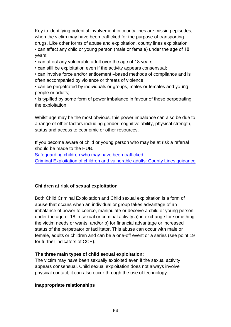Key to identifying potential involvement in county lines are missing episodes, when the victim may have been trafficked for the purpose of transporting drugs. Like other forms of abuse and exploitation, county lines exploitation: • can affect any child or young person (male or female) under the age of 18 years;

• can affect any vulnerable adult over the age of 18 years;

• can still be exploitation even if the activity appears consensual;

• can involve force and/or enticement –based methods of compliance and is often accompanied by violence or threats of violence;

• can be perpetrated by individuals or groups, males or females and young people or adults;

• is typified by some form of power imbalance in favour of those perpetrating the exploitation.

Whilst age may be the most obvious, this power imbalance can also be due to a range of other factors including gender, cognitive ability, physical strength, status and access to economic or other resources.

If you become aware of child or young person who may be at risk a referral should be made to the HUB.

[Safeguarding children who may have been trafficked](https://assets.publishing.service.gov.uk/government/uploads/system/uploads/attachment_data/file/177033/DFE-00084-2011.pdf)

[Criminal Exploitation of children and vulnerable adults: County Lines guidance](https://assets.publishing.service.gov.uk/government/uploads/system/uploads/attachment_data/file/741194/HOCountyLinesGuidanceSept2018.pdf)

### **Children at risk of sexual exploitation**

Both Child Criminal Exploitation and Child sexual exploitation is a form of abuse that occurs when an individual or group takes advantage of an imbalance of power to coerce, manipulate or deceive a child or young person under the age of 18 in sexual or criminal activity a) in exchange for something the victim needs or wants, and/or b) for financial advantage or increased status of the perpetrator or facilitator. This abuse can occur with male or female, adults or children and can be a one-off event or a series (see point 19 for further indicators of CCE).

### **The three main types of child sexual exploitation:**

The victim may have been sexually exploited even if the sexual activity appears consensual. Child sexual exploitation does not always involve physical contact; it can also occur through the use of technology.

#### **Inappropriate relationships**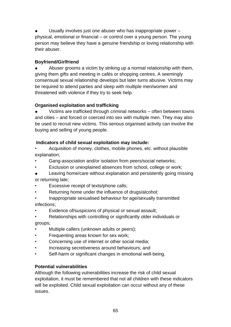Usually involves just one abuser who has inappropriate power  $$ physical, emotional or financial – or control over a young person. The young person may believe they have a genuine friendship or loving relationship with their abuser.

## **Boyfriend/Girlfriend**

Abuser grooms a victim by striking up a normal relationship with them, giving them gifts and meeting in cafés or shopping centres. A seemingly consensual sexual relationship develops but later turns abusive. Victims may be required to attend parties and sleep with multiple men/women and threatened with violence if they try to seek help.

# **Organised exploitation and trafficking**

Victims are trafficked through criminal networks – often between towns and cities – and forced or coerced into sex with multiple men. They may also be used to recruit new victims. This serious organised activity can involve the buying and selling of young people.

# **Indicators of child sexual exploitation may include:**

• Acquisition of money, clothes, mobile phones, etc. without plausible explanation;

- Gang-association and/or isolation from peers/social networks;
- Exclusion or unexplained absences from school, college or work;
- Leaving home/care without explanation and persistently going missing or returning late;
- Excessive receipt of texts/phone calls;
- Returning home under the influence of drugs/alcohol;
- Inappropriate sexualised behaviour for age/sexually transmitted infections;
- Evidence of/suspicions of physical or sexual assault;
- Relationships with controlling or significantly older individuals or groups;
- Multiple callers (unknown adults or peers);
- Frequenting areas known for sex work;
- Concerning use of internet or other social media:
- Increasing secretiveness around behaviours; and
- Self-harm or significant changes in emotional well-being.

# **Potential vulnerabilities**

Although the following vulnerabilities increase the risk of child sexual exploitation, it must be remembered that not all children with these indicators will be exploited. Child sexual exploitation can occur without any of these issues.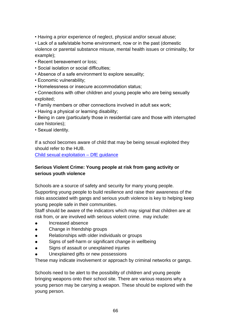- Having a prior experience of neglect, physical and/or sexual abuse;
- Lack of a safe/stable home environment, now or in the past (domestic violence or parental substance misuse, mental health issues or criminality, for example);
- Recent bereavement or loss;
- Social isolation or social difficulties;
- Absence of a safe environment to explore sexuality;
- Economic vulnerability;
- Homelessness or insecure accommodation status;

• Connections with other children and young people who are being sexually exploited;

- Family members or other connections involved in adult sex work;
- Having a physical or learning disability;

• Being in care (particularly those in residential care and those with interrupted care histories);

• Sexual identity.

If a school becomes aware of child that may be being sexual exploited they should refer to the HUB.

[Child sexual exploitation –](https://assets.publishing.service.gov.uk/government/uploads/system/uploads/attachment_data/file/591903/CSE_Guidance_Core_Document_13.02.2017.pdf) DfE guidance

### **Serious Violent Crime: Young people at risk from gang activity or serious youth violence**

Schools are a source of safety and security for many young people. Supporting young people to build resilience and raise their awareness of the risks associated with gangs and serious youth violence is key to helping keep young people safe in their communities.

Staff should be aware of the indicators which may signal that children are at risk from, or are involved with serious violent crime. may include:

- Increased absence
- Change in friendship groups
- Relationships with older individuals or groups
- Signs of self-harm or significant change in wellbeing
- Signs of assault or unexplained injuries
- Unexplained gifts or new possessions

These may indicate involvement or approach by criminal networks or gangs.

Schools need to be alert to the possibility of children and young people bringing weapons onto their school site. There are various reasons why a young person may be carrying a weapon. These should be explored with the young person.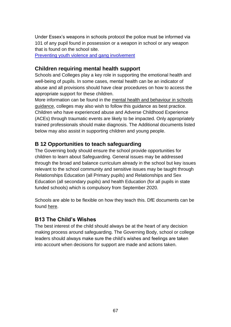Under Essex's weapons in schools protocol the police must be informed via 101 of any pupil found in possession or a weapon in school or any weapon that is found on the school site.

[Preventing youth violence and gang involvement](https://assets.publishing.service.gov.uk/government/uploads/system/uploads/attachment_data/file/418131/Preventing_youth_violence_and_gang_involvement_v3_March2015.pdf)

## **Children requiring mental health support**

Schools and Colleges play a key role in supporting the emotional health and well-being of pupils. In some cases, mental health can be an indicator of abuse and all provisions should have clear procedures on how to access the appropriate support for these children.

More information can be found in the [mental health and behaviour in schools](https://www.gov.uk/government/publications/mental-health-and-behaviour-in-schools--2)  [guidance,](https://www.gov.uk/government/publications/mental-health-and-behaviour-in-schools--2) colleges may also wish to follow this guidance as best practice. Children who have experienced abuse and Adverse Childhood Experience (ACEs) through traumatic events are likely to be impacted. Only appropriately trained professionals should make diagnosis. The Additional documents listed below may also assist in supporting children and young people.

# **B 12 Opportunities to teach safeguarding**

The Governing body should ensure the school provide opportunities for children to learn about Safeguarding. General issues may be addressed through the broad and balance curriculum already in the school but key issues relevant to the school community and sensitive issues may be taught through Relationships Education (all Primary pupils) and Relationships and Sex Education (all secondary pupils) and health Education (for all pupils in state funded schools) which is compulsory from September 2020.

Schools are able to be flexible on how they teach this. DfE documents can be found [here.](https://www.gov.uk/government/publications/relationships-education-relationships-and-sex-education-rse-and-health-education)

# **B13 The Child's Wishes**

The best interest of the child should always be at the heart of any decision making process around safeguarding. The Governing Body, school or college leaders should always make sure the child's wishes and feelings are taken into account when decisions for support are made and actions taken.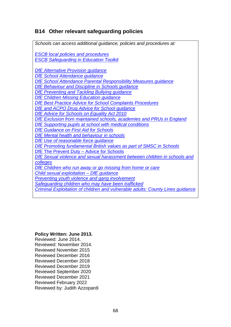# **B14 Other relevant safeguarding policies**

| Schools can access additional guidance, policies and procedures at:            |
|--------------------------------------------------------------------------------|
| <b>ESCB local policies and procedures</b>                                      |
| <b>ESCB Safeguarding in Education Toolkit</b>                                  |
| <b>DfE Alternative Provision guidance</b>                                      |
| <b>DfE School Attendance guidance</b>                                          |
| DfE School Attendance Parental Responsibility Measures guidance                |
| DfE Behaviour and Discipline in Schools guidance                               |
| <b>DfE Preventing and Tackling Bullying guidance</b>                           |
| <b>DfE Children Missing Education guidance</b>                                 |
| <b>DfE Best Practice Advice for School Complaints Procedures</b>               |
| DfE and ACPO Drug Advice for School guidance                                   |
| <b>DfE Advice for Schools on Equality Act 2010</b>                             |
| DfE Exclusion from maintained schools, academies and PRUs in England           |
| DfE Supporting pupils at school with medical conditions                        |
| <b>DfE Guidance on First Aid for Schools</b>                                   |
| DfE Mental health and behaviour in schools                                     |
| DfE Use of reasonable force guidance                                           |
| DfE Promoting fundamental British values as part of SMSC in Schools            |
| <b>DfE The Prevent Duty - Advice for Schools</b>                               |
| DfE Sexual violence and sexual harassment between children in schools and      |
| colleges                                                                       |
| DfE Children who run away or go missing from home or care                      |
| Child sexual exploitation - DfE guidance                                       |
| <b>Preventing youth violence and gang involvement</b>                          |
| Safeguarding children who may have been trafficked                             |
| Criminal Exploitation of children and vulnerable adults: County Lines guidance |
|                                                                                |

### **Policy Written: June 2013.**

Reviewed: June 2014. Reviewed: November 2014. Reviewed November 2015 Reviewed December 2016 Reviewed December 2018 Reviewed December 2019 Reviewed September 2020 Reviewed December 2021 Reviewed February 2022 Reviewed by: Judith Azzopardi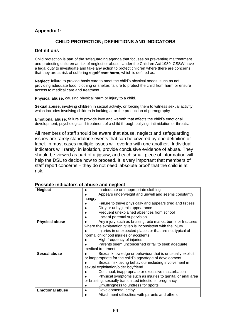### **Appendix 1:**

#### **CHILD PROTECTION; DEFINITIONS AND INDICATORS**

#### **Definitions**

Child protection is part of the safeguarding agenda that focuses on preventing maltreatment and protecting children at risk of neglect or abuse. Under the Children Act 1989, CSSW have a legal duty to investigate and take any action to protect children where there are concerns that they are at risk of suffering **significant harm**, which is defined as:

**Neglect**: failure to provide basic care to meet the child's physical needs, such as not providing adequate food, clothing or shelter; failure to protect the child from harm or ensure access to medical care and treatment.

**Physical abuse:** causing physical harm or injury to a child.

**Sexual abuse:** involving children in sexual activity, or forcing them to witness sexual activity, which includes involving children in looking at or the production of pornography.

**Emotional abuse:** failure to provide love and warmth that affects the child's emotional development; psychological ill treatment of a child through bullying, intimidation or threats.

All members of staff should be aware that abuse, neglect and safeguarding issues are rarely standalone events that can be covered by one definition or label. In most cases multiple issues will overlap with one another. Individual indicators will rarely, in isolation, provide conclusive evidence of abuse. They should be viewed as part of a jigsaw, and each small piece of information will help the DSL to decide how to proceed. It is very important that members of staff report concerns – they do not need 'absolute proof' that the child is at risk.

| <b>Neglect</b>         | Inadequate or inappropriate clothing                        |
|------------------------|-------------------------------------------------------------|
|                        | Appears underweight and unwell and seems constantly         |
|                        | hungry                                                      |
|                        | Failure to thrive physically and appears tired and listless |
|                        | Dirty or unhygienic appearance                              |
|                        | Frequent unexplained absences from school                   |
|                        | Lack of parental supervision                                |
| <b>Physical abuse</b>  | Any injury such as bruising, bite marks, burns or fractures |
|                        | where the explanation given is inconsistent with the injury |
|                        | Injuries in unexpected places or that are not typical of    |
|                        | normal childhood injuries or accidents                      |
|                        | High frequency of injuries                                  |
|                        | Parents seem unconcerned or fail to seek adequate           |
|                        | medical treatment                                           |
| Sexual abuse           | Sexual knowledge or behaviour that is unusually explicit    |
|                        | or inappropriate for the child's age/stage of development   |
|                        | Sexual risk taking behaviour including involvement in       |
|                        | sexual exploitation/older boyfriend                         |
|                        | Continual, inappropriate or excessive masturbation          |
|                        | Physical symptoms such as injuries to genital or anal area  |
|                        | or bruising, sexually transmitted infections, pregnancy     |
|                        | Unwillingness to undress for sports                         |
| <b>Emotional abuse</b> | Developmental delay                                         |
|                        | Attachment difficulties with parents and others             |

**Possible indicators of abuse and neglect**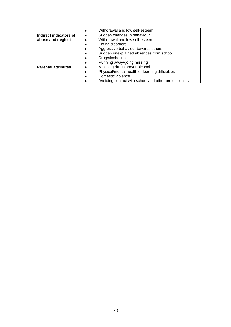|                            | Withdrawal and low self-esteem                       |
|----------------------------|------------------------------------------------------|
| Indirect indicators of     | Sudden changes in behaviour                          |
| abuse and neglect          | Withdrawal and low self-esteem                       |
|                            | Eating disorders                                     |
|                            | Aggressive behaviour towards others                  |
|                            | Sudden unexplained absences from school              |
|                            | Drug/alcohol misuse                                  |
|                            | Running away/going missing                           |
| <b>Parental attributes</b> | Misusing drugs and/or alcohol<br>$\bullet$           |
|                            | Physical/mental health or learning difficulties      |
|                            | Domestic violence                                    |
|                            | Avoiding contact with school and other professionals |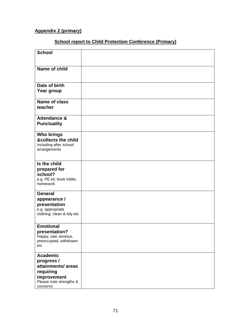# **Appendix 2 (primary)**

# **School report to Child Protection Conference (Primary)**

| <b>School</b>                                                                                                         |  |
|-----------------------------------------------------------------------------------------------------------------------|--|
| Name of child                                                                                                         |  |
| Date of birth<br>Year group                                                                                           |  |
| <b>Name of class</b><br>teacher                                                                                       |  |
| <b>Attendance &amp;</b><br><b>Punctuality</b>                                                                         |  |
| <b>Who brings</b><br>&collects the child<br>Including after school<br>arrangements                                    |  |
| Is the child<br>prepared for<br>school?<br>e.g. PE kit; book folder,<br>homework                                      |  |
| <b>General</b><br>appearance /<br>presentation<br>e.g. appropriate<br>clothing; clean & tidy etc                      |  |
| <b>Emotional</b><br>presentation?<br>Happy, sad, anxious,<br>preoccupied, withdrawn<br>etc                            |  |
| <b>Academic</b><br>progress /<br>attainments/areas<br>requiring<br>improvement<br>Please note strengths &<br>concerns |  |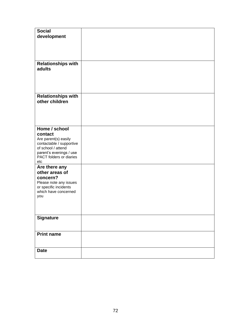| <b>Social</b><br>development                |  |
|---------------------------------------------|--|
|                                             |  |
| <b>Relationships with</b><br>adults         |  |
| <b>Relationships with</b><br>other children |  |
| Home / school                               |  |
| contact                                     |  |
| Are parent(s) easily                        |  |
| contactable / supportive                    |  |
| of school / attend                          |  |
| parent's evenings / use                     |  |
| PACT folders or diaries<br>etc              |  |
| Are there any                               |  |
| other areas of                              |  |
| concern?                                    |  |
| Please note any issues                      |  |
| or specific incidents                       |  |
| which have concerned                        |  |
| you                                         |  |
|                                             |  |
|                                             |  |
| <b>Signature</b>                            |  |
|                                             |  |
| <b>Print name</b>                           |  |
|                                             |  |
| <b>Date</b>                                 |  |
|                                             |  |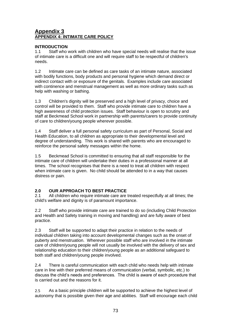# **Appendix 3 APPENDIX 4: INTIMATE CARE POLICY**

# **INTRODUCTION**

1.1 Staff who work with children who have special needs will realise that the issue of intimate care is a difficult one and will require staff to be respectful of children's needs.

1.2 Intimate care can be defined as care tasks of an intimate nature, associated with bodily functions, body products and personal hygiene which demand direct or indirect contact with or exposure of the genitals. Examples include care associated with continence and menstrual management as well as more ordinary tasks such as help with washing or bathing.

1.3 Children's dignity will be preserved and a high level of privacy, choice and control will be provided to them. Staff who provide intimate care to children have a high awareness of child protection issues. Staff behaviour is open to scrutiny and staff at Beckmead School work in partnership with parents/carers to provide continuity of care to children/young people wherever possible.

1.4 Staff deliver a full personal safety curriculum as part of Personal, Social and Health Education, to all children as appropriate to their developmental level and degree of understanding. This work is shared with parents who are encouraged to reinforce the personal safety messages within the home.

1.5 Beckmead School is committed to ensuring that all staff responsible for the intimate care of children will undertake their duties in a professional manner at all times. The school recognises that there is a need to treat all children with respect when intimate care is given. No child should be attended to in a way that causes distress or pain.

# **2.0 OUR APPROACH TO BEST PRACTICE**

2.1 All children who require intimate care are treated respectfully at all times; the child's welfare and dignity is of paramount importance.

2.2 Staff who provide intimate care are trained to do so (including Child Protection and Health and Safety training in moving and handling) and are fully aware of best practice.

2.3 Staff will be supported to adapt their practice in relation to the needs of individual children taking into account developmental changes such as the onset of puberty and menstruation. Wherever possible staff who are involved in the intimate care of children/young people will not usually be involved with the delivery of sex and relationship education to their children/young people as an additional safeguard to both staff and children/young people involved.

2.4 There is careful communication with each child who needs help with intimate care in line with their preferred means of communication (verbal, symbolic, etc.) to discuss the child's needs and preferences. The child is aware of each procedure that is carried out and the reasons for it.

2.5 As a basic principle children will be supported to achieve the highest level of autonomy that is possible given their age and abilities. Staff will encourage each child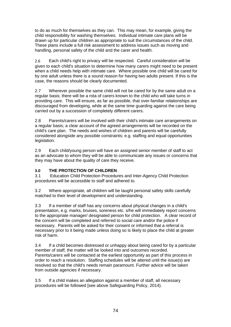to do as much for themselves as they can. This may mean, for example, giving the child responsibility for washing themselves. Individual intimate care plans will be drawn up for particular children as appropriate to suit the circumstances of the child. These plans include a full risk assessment to address issues such as moving and handling, personal safety of the child and the carer and health.

2.6 Each child's right to privacy will be respected. Careful consideration will be given to each child's situation to determine how many carers might need to be present when a child needs help with intimate care. Where possible one child will be cared for by one adult unless there is a sound reason for having two adults present. If this is the case, the reasons should be clearly documented.

2.7 Wherever possible the same child will not be cared for by the same adult on a regular basis; there will be a rota of carers known to the child who will take turns in providing care. This will ensure, as far as possible, that over-familiar relationships are discouraged from developing, while at the same time guarding against the care being carried out by a succession of completely different carers.

2.8 Parents/carers will be involved with their child's intimate care arrangements on a regular basis; a clear account of the agreed arrangements will be recorded on the child's care plan. The needs and wishes of children and parents will be carefully considered alongside any possible constraints; e.g. staffing and equal opportunities legislation.

2.9 Each child/young person will have an assigned senior member of staff to act as an advocate to whom they will be able to communicate any issues or concerns that they may have about the quality of care they receive.

# **3.0 THE PROTECTION OF CHILDREN**

3.1 Education Child Protection Procedures and Inter-Agency Child Protection procedures will be accessible to staff and adhered to.

3.2 Where appropriate, all children will be taught personal safety skills carefully matched to their level of development and understanding.

3.3 If a member of staff has any concerns about physical changes in a child's presentation, e.g. marks, bruises, soreness etc. s/he will immediately report concerns to the appropriate manager/ designated person for child protection. A clear record of the concern will be completed and referred to social care and/or the police if necessary. Parents will be asked for their consent or informed that a referral is necessary prior to it being made unless doing so is likely to place the child at greater risk of harm.

3.4 If a child becomes distressed or unhappy about being cared for by a particular member of staff, the matter will be looked into and outcomes recorded. Parents/carers will be contacted at the earliest opportunity as part of this process in order to reach a resolution. Staffing schedules will be altered until the issue(s) are resolved so that the child's needs remain paramount. Further advice will be taken from outside agencies if necessary.

3.5 If a child makes an allegation against a member of staff, all necessary procedures will be followed [see above Safeguarding Policy, 2014).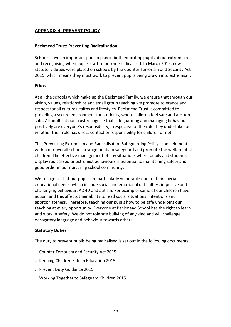# **APPENDIX 4: PREVENT POLICY**

## **Beckmead Trust: Preventing Radicalisation**

Schools have an important part to play in both educating pupils about extremism and recognising when pupils start to become radicalised. In March 2015, new statutory duties were placed on schools by the Counter Terrorism and Security Act 2015, which means they must work to prevent pupils being drawn into extremism.

### **Ethos**

At all the schools which make up the Beckmead Family, we ensure that through our vision, values, relationships and small group teaching we promote tolerance and respect for all cultures, faiths and lifestyles. Beckmead Trust is committed to providing a secure environment for students, where children feel safe and are kept safe. All adults at our Trust recognise that safeguarding and managing behaviour positively are everyone's responsibility, irrespective of the role they undertake, or whether their role has direct contact or responsibility for children or not.

This Preventing Extremism and Radicalisation Safeguarding Policy is one element within our overall school arrangements to safeguard and promote the welfare of all children. The effective management of any situations where pupils and students display radicalised or extremist behaviours is essential to maintaining safety and good order in our nurturing school community.

We recognise that our pupils are particularly vulnerable due to their special educational needs, which include social and emotional difficulties, impulsive and challenging behaviour, ADHD and autism. For example, some of our children have autism and this affects their ability to read social situations, intentions and appropriateness. Therefore, teaching our pupils how to be safe underpins our teaching at every opportunity. Everyone at Beckmead School has the right to learn and work in safety. We do not tolerate bullying of any kind and will challenge derogatory language and behaviour towards others.

### **Statutory Duties**

The duty to prevent pupils being radicalised is set out in the following documents.

- . Counter Terrorism and Security Act 2015
- . Keeping Children Safe in Education 2015
- . Prevent Duty Guidance 2015
- . Working Together to Safeguard Children 2015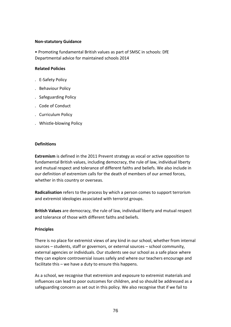### **Non-statutory Guidance**

• Promoting fundamental British values as part of SMSC in schools: DfE Departmental advice for maintained schools 2014

## **Related Policies**

- . E-Safety Policy
- . Behaviour Policy
- . Safeguarding Policy
- . Code of Conduct
- . Curriculum Policy
- . Whistle-blowing Policy

### **Definitions**

**Extremism** is defined in the 2011 Prevent strategy as vocal or active opposition to fundamental British values, including democracy, the rule of law, individual liberty and mutual respect and tolerance of different faiths and beliefs. We also include in our definition of extremism calls for the death of members of our armed forces, whether in this country or overseas.

**Radicalisation** refers to the process by which a person comes to support terrorism and extremist ideologies associated with terrorist groups.

**British Values** are democracy, the rule of law, individual liberty and mutual respect and tolerance of those with different faiths and beliefs.

### **Principles**

There is no place for extremist views of any kind in our school, whether from internal sources – students, staff or governors, or external sources – school community, external agencies or individuals. Our students see our school as a safe place where they can explore controversial issues safely and where our teachers encourage and facilitate this – we have a duty to ensure this happens.

As a school, we recognise that extremism and exposure to extremist materials and influences can lead to poor outcomes for children, and so should be addressed as a safeguarding concern as set out in this policy. We also recognise that if we fail to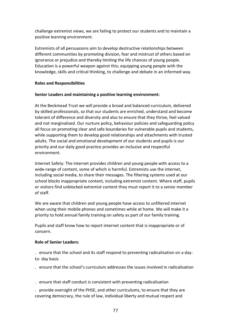challenge extremist views, we are failing to protect our students and to maintain a positive learning environment.

Extremists of all persuasions aim to develop destructive relationships between different communities by promoting division, fear and mistrust of others based on ignorance or prejudice and thereby limiting the life chances of young people. Education is a powerful weapon against this; equipping young people with the knowledge, skills and critical thinking, to challenge and debate in an informed way.

## **Roles and Responsibilities**

## **Senior Leaders and maintaining a positive learning environment:**

At the Beckmead Trust we will provide a broad and balanced curriculum, delivered by skilled professionals, so that our students are enriched, understand and become tolerant of difference and diversity and also to ensure that they thrive, feel valued and not marginalized. Our nurture policy, behaviour policies and safeguarding policy all focus on promoting clear and safe boundaries for vulnerable pupils and students, while supporting them to develop good relationships and attachments with trusted adults. The social and emotional development of our students and pupils is our priority and our daily good practice provides an inclusive and respectful environment.

Internet Safety: The internet provides children and young people with access to a wide-range of content, some of which is harmful. Extremists use the internet, including social media, to share their messages. The filtering systems used at our school blocks inappropriate content, including extremist content. Where staff, pupils or visitors find unblocked extremist content they must report it to a senior member of staff.

We are aware that children and young people have access to unfiltered internet when using their mobile phones and sometimes while at home. We will make it a priority to hold annual family training on safety as part of our family training.

Pupils and staff know how to report internet content that is inappropriate or of concern.

### **Role of Senior Leaders:**

. ensure that the school and its staff respond to preventing radicalisation on a dayto- day basis

. ensure that the school's curriculum addresses the issues involved in radicalisation

- . ensure that staff conduct is consistent with preventing radicalisation
- . provide oversight of the PHSE, and other curriculums, to ensure that they are covering democracy, the rule of law, individual liberty and mutual respect and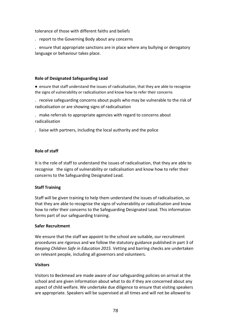tolerance of those with different faiths and beliefs

. report to the Governing Body about any concerns

. ensure that appropriate sanctions are in place where any bullying or derogatory language or behaviour takes place.

# **Role of Designated Safeguarding Lead**

● ensure that staff understand the issues of radicalisation, that they are able to recognise the signs of vulnerability or radicalisation and know how to refer their concerns

. receive safeguarding concerns about pupils who may be vulnerable to the risk of radicalisation or are showing signs of radicalisation

. make referrals to appropriate agencies with regard to concerns about radicalisation

. liaise with partners, including the local authority and the police

# **Role of staff**

It is the role of staff to understand the issues of radicalisation, that they are able to recognise the signs of vulnerability or radicalisation and know how to refer their concerns to the Safeguarding Designated Lead.

# **Staff Training**

Staff will be given training to help them understand the issues of radicalisation, so that they are able to recognise the signs of vulnerability or radicalisation and know how to refer their concerns to the Safeguarding Designated Lead. This information forms part of our safeguarding training.

### **Safer Recruitment**

We ensure that the staff we appoint to the school are suitable, our recruitment procedures are rigorous and we follow the statutory guidance published in part 3 of *Keeping Children Safe in Education 2015.* Vetting and barring checks are undertaken on relevant people, including all governors and volunteers.

### **Visitors**

Visitors to Beckmead are made aware of our safeguarding policies on arrival at the school and are given information about what to do if they are concerned about any aspect of child welfare. We undertake due diligence to ensure that visiting speakers are appropriate. Speakers will be supervised at all times and will not be allowed to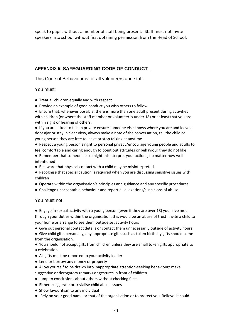speak to pupils without a member of staff being present. Staff must not invite speakers into school without first obtaining permission from the Head of School.

# **APPENDIX 5: SAFEGUARDING CODE OF CONDUCT**

This Code of Behaviour is for all volunteers and staff.

# You must:

- Treat all children equally and with respect
- Provide an example of good conduct you wish others to follow
- Ensure that, whenever possible, there is more than one adult present during activities with children (or where the staff member or volunteer is under 18) or at least that you are within sight or hearing of others.

● If you are asked to talk in private ensure someone else knows where you are and leave a door ajar or stay in clear view, always make a note of the conversation, tell the child or young person they are free to leave or stop talking at anytime

- Respect a young person's right to personal privacy/encourage young people and adults to feel comfortable and caring enough to point out attitudes or behaviour they do not like
- Remember that someone else might misinterpret your actions, no matter how well intentioned
- Be aware that physical contact with a child may be misinterpreted
- Recognise that special caution is required when you are discussing sensitive issues with children
- Operate within the organisation's principles and guidance and any specific procedures
- Challenge unacceptable behaviour and report all allegations/suspicions of abuse.

### You must not:

- Engage in sexual activity with a young person (even if they are over 18) you have met through your duties within the organisation, this would be an abuse of trust Invite a child to your home or arrange to see them outside set activity hours
- Give out personal contact details or contact them unnecessarily outside of activity hours
- Give child gifts personally, any appropriate gifts such as token birthday gifts should come from the organisation.

● You should not accept gifts from children unless they are small token gifts appropriate to a celebration.

- All gifts must be reported to your activity leader
- Lend or borrow any money or property
- Allow yourself to be drawn into inappropriate attention-seeking behaviour/ make suggestive or derogatory remarks or gestures in front of children
- Jump to conclusions about others without checking facts
- Either exaggerate or trivialise child abuse issues
- Show favouritism to any individual
- Rely on your good name or that of the organisation or to protect you. Believe 'it could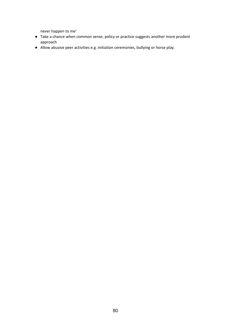never happen to me'

- Take a chance when common sense, policy or practice suggests another more prudent approach
- Allow abusive peer activities e.g. initiation ceremonies, bullying or horse play.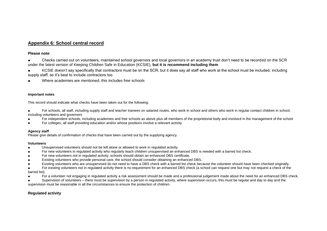# **Appendix 6: School central record**

#### **Please note**:

Checks carried out on volunteers, maintained school governors and local governors in an academy trust don't need to be recorded on the SCR under the latest version of Keeping Children Safe in Education (KCSIE), **but it is recommend including them**

● KCSIE doesn't say specifically that contractors must be on the SCR, but it does say all staff who work at the school must be included, including supply staff, so it's best to include contractors too

● Where academies are mentioned, this includes free schools

#### **Important notes**

This record should indicate what checks have been taken out for the following:

For schools, all staff, including supply staff and teacher trainees on salaried routes, who work in school and others who work in regular contact children in school, including volunteers and governors

- For independent schools, including academies and free schools as above plus all members of the proprietorial body and involved in the management of the school
- For colleges, all staff providing education and/or whose positions involve a relevant activity

#### **Agency staff**

Please give details of confirmation of checks that have been carried out by the supplying agency.

#### **Volunteers**

- Unsupervised volunteers should not be left alone or allowed to work in regulated activity.
- For new volunteers in regulated activity who regularly teach children unsupervised an enhanced DBS is needed with a barred list check.
- For new volunteers not in regulated activity, schools should obtain an enhanced DBS certificate.
- Existing volunteers who provide personal care, the school should consider obtaining an enhanced DBS.
- Existing volunteers who are unsupervised do not need to have a DBS check with a barred list check because the volunteer should have been checked originally.

For existing volunteers not in regulated activity there is no requirement for an enhanced DBS check (a school can request one but may not request a check of the barred list).

For a volunteer not engaging in regulated activity a risk assessment should be made and a professional judgement made about the need for an enhanced DBS check.

Supervision of volunteers – there must be supervision by a person in regulated activity, where supervision occurs, this must be regular and day to day and the supervision must be reasonable in all the circumstances to ensure the protection of children.

#### **Regulated activity**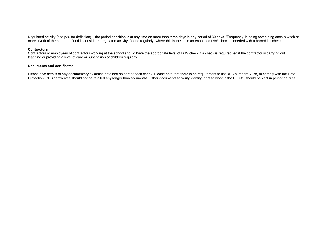Regulated activity (see p20 for definition) – the period condition is at any time on more than three days in any period of 30 days. 'Frequently' is doing something once a week or more. Work of the nature defined is considered regulated activity if done regularly; where this is the case an enhanced DBS check is needed with a barred list check.

#### **Contractors**

Contractors or employees of contractors working at the school should have the appropriate level of DBS check if a check is required, eg if the contractor is carrying out teaching or providing a level of care or supervision of children regularly.

#### **Documents and certificates**

Please give details of any documentary evidence obtained as part of each check. Please note that there is no requirement to list DBS numbers. Also, to comply with the Data Protection, DBS certificates should not be retailed any longer than six months. Other documents to verify identity, right to work in the UK etc, should be kept in personnel files.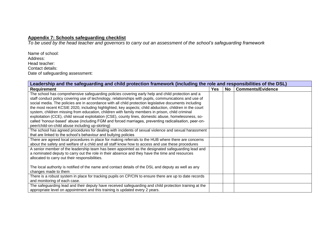# **Appendix 7: Schools safeguarding checklist**

*To be used by the head teacher and governors to carry out an assessment of the school's safeguarding framework*

Name of school: Address: Head teacher: Contact details: Date of safeguarding assessment:

| Leadership and the safeguarding and child protection framework (including the role and responsibilities of the DSL) |            |    |                          |  |
|---------------------------------------------------------------------------------------------------------------------|------------|----|--------------------------|--|
| <b>Requirement</b>                                                                                                  | <b>Yes</b> | No | <b>Comments/Evidence</b> |  |
| The school has comprehensive safeguarding policies covering early help and child protection and a                   |            |    |                          |  |
| staff conduct policy covering use of technology, relationships with pupils, communications and use of               |            |    |                          |  |
| social media. The policies are in accordance with all child protection legislative documents including              |            |    |                          |  |
| the most recent KCSIE 2020, including highlighted, key aspects; child abduction, children in the court              |            |    |                          |  |
| system, children missing from education, children with family members in prison, child criminal                     |            |    |                          |  |
| exploitation (CCE), child sexual exploitation (CSE), county lines, domestic abuse, homelessness, so-                |            |    |                          |  |
| called 'honour-based' abuse (including FGM and forced marriages, preventing radicalisation, peer-on-                |            |    |                          |  |
| peer/child-on-child abuse including up-skirting)                                                                    |            |    |                          |  |
| The school has agreed procedures for dealing with incidents of sexual violence and sexual harassment                |            |    |                          |  |
| that are linked to the school's behaviour and bullying policies                                                     |            |    |                          |  |
| There are agreed local procedures in place for making referrals to the HUB where there are concerns                 |            |    |                          |  |
| about the safety and welfare of a child and all staff know how to access and use these procedures                   |            |    |                          |  |
| A senior member of the leadership team has been appointed as the designated safeguarding lead and                   |            |    |                          |  |
| a nominated deputy to carry out the role in their absence and they have the time and resources                      |            |    |                          |  |
| allocated to carry out their responsibilities.                                                                      |            |    |                          |  |
|                                                                                                                     |            |    |                          |  |
| The local authority is notified of the name and contact details of the DSL and deputy as well as any                |            |    |                          |  |
| changes made to them                                                                                                |            |    |                          |  |
| There is a robust system in place for tracking pupils on CP/CIN to ensure there are up to date records              |            |    |                          |  |
| and monitoring of each case.                                                                                        |            |    |                          |  |
| The safeguarding lead and their deputy have received safeguarding and child protection training at the              |            |    |                          |  |
| appropriate level on appointment and this training is updated every 2 years.                                        |            |    |                          |  |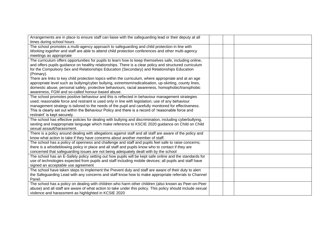| Arrangements are in place to ensure staff can liaise with the safeguarding lead or their deputy at all     |  |  |
|------------------------------------------------------------------------------------------------------------|--|--|
| times during school hours                                                                                  |  |  |
| The school promotes a multi-agency approach to safeguarding and child protection in line with              |  |  |
| Working together and staff are able to attend child protection conferences and other multi-agency          |  |  |
| meetings as appropriate                                                                                    |  |  |
| The curriculum offers opportunities for pupils to learn how to keep themselves safe, including online,     |  |  |
| and offers pupils guidance on healthy relationships. There is a clear policy and structured curriculum     |  |  |
| for the Compulsory Sex and Relationships Education (Secondary) and Relationships Education                 |  |  |
| (Primary).                                                                                                 |  |  |
| There are links to key child protection topics within the curriculum, where appropriate and at an age      |  |  |
| appropriate level such as bullying/cyber bullying, extremism/radicalisation, up-skirting, county lines,    |  |  |
| domestic abuse, personal safety, protective behaviours, racial awareness, homophobic/transphobic           |  |  |
| awareness, FGM and so-called honour-based abuse.                                                           |  |  |
| The school promotes positive behaviour and this is reflected in behaviour management strategies            |  |  |
| used; reasonable force and restraint is used only in line with legislation; use of any behaviour           |  |  |
| management strategy is tailored to the needs of the pupil and carefully monitored for effectiveness.       |  |  |
| This is clearly set out within the Behaviour Policy and there is a record of 'reasonable force and         |  |  |
| restraint' is kept securely.                                                                               |  |  |
| The school has effective policies for dealing with bullying and discrimination, including cyberbullying,   |  |  |
| sexting and inappropriate language which make reference to KSCIE 2020 guidance on Child on Child           |  |  |
| sexual assault/harassment.                                                                                 |  |  |
| There is a policy around dealing with allegations against staff and all staff are aware of the policy and  |  |  |
| know what action to take if they have concerns about another member of staff.                              |  |  |
| The school has a policy of openness and challenge and staff and pupils feel safe to raise concerns;        |  |  |
| there is a whistleblowing policy in place and all staff and pupils know who to contact if they are         |  |  |
| concerned that safeguarding issues are not being adequately dealt with by the school                       |  |  |
| The school has an E-Safety policy setting out how pupils will be kept safe online and the standards for    |  |  |
| use of technologies expected from pupils and staff including mobile devices; all pupils and staff have     |  |  |
| signed an acceptable use agreement                                                                         |  |  |
| The school have taken steps to implement the Prevent duty and staff are aware of their duty to alert       |  |  |
| the Safeguarding Lead with any concerns and staff know how to make appropriate referrals to Channel        |  |  |
| Panel.                                                                                                     |  |  |
| The school has a policy on dealing with children who harm other children (also known as Peer-on-Peer       |  |  |
| abuse) and all staff are aware of what action to take under this policy. This policy should include sexual |  |  |
| violence and harassment as highlighted in KCSIE 2020                                                       |  |  |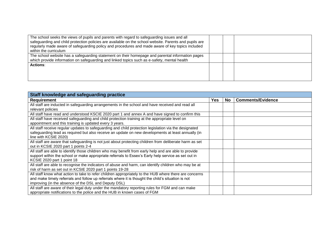| The school seeks the views of pupils and parents with regard to safeguarding issues and all            |  |  |
|--------------------------------------------------------------------------------------------------------|--|--|
| safeguarding and child protection policies are available on the school website. Parents and pupils are |  |  |
| regularly made aware of safeguarding policy and procedures and made aware of key topics included       |  |  |
| within the curriculum                                                                                  |  |  |
| The school website has a safeguarding statement on their homepage and parental information pages       |  |  |
| which provide information on safeguarding and linked topics such as e-safety, mental health            |  |  |
| <b>Actions:</b>                                                                                        |  |  |
|                                                                                                        |  |  |
|                                                                                                        |  |  |
|                                                                                                        |  |  |

| Staff knowledge and safeguarding practice                                                               |            |    |                          |  |
|---------------------------------------------------------------------------------------------------------|------------|----|--------------------------|--|
| <b>Requirement</b>                                                                                      | <b>Yes</b> | No | <b>Comments/Evidence</b> |  |
| All staff are inducted in safeguarding arrangements in the school and have received and read all        |            |    |                          |  |
| relevant policies                                                                                       |            |    |                          |  |
| All staff have read and understood KSCIE 2020 part 1 and annex A and have signed to confirm this        |            |    |                          |  |
| All staff have received safeguarding and child protection training at the appropriate level on          |            |    |                          |  |
| appointment and this training is updated every 3 years.                                                 |            |    |                          |  |
| All staff receive regular updates to safeguarding and child protection legislation via the designated   |            |    |                          |  |
| safeguarding lead as required but also receive an update on new developments at least annually (in      |            |    |                          |  |
| line with KCSIE 2020)                                                                                   |            |    |                          |  |
| All staff are aware that safeguarding is not just about protecting children from deliberate harm as set |            |    |                          |  |
| out in KCSIE 2020 part 1 points 2-4                                                                     |            |    |                          |  |
| All staff are able to identify those children who may benefit from early help and are able to provide   |            |    |                          |  |
| support within the school or make appropriate referrals to Essex's Early help service as set out in     |            |    |                          |  |
| KCSIE 2020 part 1 point 18                                                                              |            |    |                          |  |
| All staff are able to recognise the indicators of abuse and harm, can identify children who may be at   |            |    |                          |  |
| risk of harm as set out in KCSIE 2020 part 1 points 19-28                                               |            |    |                          |  |
| All staff know what action to take to refer children appropriately to the HUB where there are concerns  |            |    |                          |  |
| and make timely referrals and follow up referrals where it is thought the child's situation is not      |            |    |                          |  |
| improving (in the absence of the DSL and Deputy DSL)                                                    |            |    |                          |  |
| All staff are aware of their legal duty under the mandatory reporting rules for FGM and can make        |            |    |                          |  |
| appropriate notifications to the police and the HUB in known cases of FGM                               |            |    |                          |  |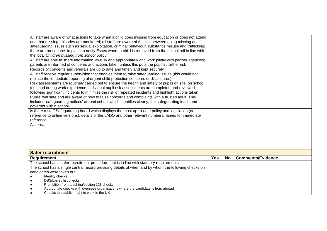| All staff are aware of what actions to take when a child goes missing from education or does not attend    |            |           |                          |
|------------------------------------------------------------------------------------------------------------|------------|-----------|--------------------------|
| and that missing episodes are monitored; all staff are aware of the link between going missing and         |            |           |                          |
| safeguarding issues such as sexual exploitation, criminal behaviour, substance misuse and trafficking;     |            |           |                          |
| there are procedures in place to notify Essex where a child is removed from the school roll in line with   |            |           |                          |
| the local Children missing from school policy                                                              |            |           |                          |
| All staff are able to share information lawfully and appropriately and work jointly with partner agencies; |            |           |                          |
| parents are informed of concerns and actions taken unless this puts the pupil at further risk              |            |           |                          |
| Records of concerns and referrals are up to date and timely and kept securely                              |            |           |                          |
| All staff receive regular supervision that enables them to raise safeguarding issues (this would not       |            |           |                          |
| replace the immediate reporting of urgent child protection concerns or disclosures)                        |            |           |                          |
| Risk assessments are routinely carried out to ensure the health and safety of pupils on site, on school    |            |           |                          |
| trips and during work experience. Individual pupil risk assessments are completed and reviewed             |            |           |                          |
| following significant incidents to minimise the risk of repeated incidents and highlight actions taken     |            |           |                          |
| Pupils feel safe and are aware of how to raise concerns and complaints with a trusted adult. This          |            |           |                          |
| includes 'safeguarding notices' around school which identifies clearly, the safeguarding leads and         |            |           |                          |
| governor within school                                                                                     |            |           |                          |
| Is there a staff Safeguarding board which displays the most up-to-date policy and legislation (or          |            |           |                          |
| reference to online versions), details of the LADO and other relevant numbers/names for immediate          |            |           |                          |
| reference                                                                                                  |            |           |                          |
| Actions:                                                                                                   |            |           |                          |
|                                                                                                            |            |           |                          |
|                                                                                                            |            |           |                          |
|                                                                                                            |            |           |                          |
|                                                                                                            |            |           |                          |
|                                                                                                            |            |           |                          |
| <b>Safer recruitment</b>                                                                                   |            |           |                          |
| <b>Requirement</b>                                                                                         | <b>Yes</b> | <b>No</b> | <b>Comments/Evidence</b> |
| The school has a safer recruitment procedure that is in line with statutory requirements                   |            |           |                          |
| The school has a single central record providing details of when and by whom the following checks on       |            |           |                          |
| candidates were taken out:                                                                                 |            |           |                          |
| Identity checks                                                                                            |            |           |                          |
| DBS/barred list checks                                                                                     |            |           |                          |
| Prohibition from teaching/section 128 checks                                                               |            |           |                          |
| Appropriate checks with oversees organisations where the candidate is from abroad                          |            |           |                          |
| Checks to establish right to work in the UK<br>$\bullet$                                                   |            |           |                          |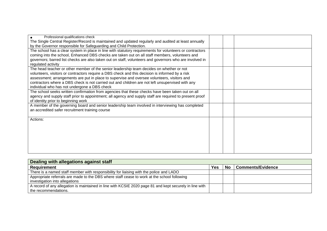| Professional qualifications check                                                                        |  |  |
|----------------------------------------------------------------------------------------------------------|--|--|
| The Single Central Register/Record is maintained and updated regularly and audited at least annually     |  |  |
| by the Governor responsible for Safeguarding and Child Protection.                                       |  |  |
| The school has a clear system in place in line with statutory requirements for volunteers or contractors |  |  |
| coming into the school, Enhanced DBS checks are taken out on all staff members, volunteers and           |  |  |
| governors; barred list checks are also taken out on staff, volunteers and governors who are involved in  |  |  |
| regulated activity                                                                                       |  |  |
| The head teacher or other member of the senior leadership team decides on whether or not                 |  |  |
| volunteers, visitors or contractors require a DBS check and this decision is informed by a risk          |  |  |
| assessment; arrangements are put in place to supervise and oversee volunteers, visitors and              |  |  |
| contractors where a DBS check is not carried out and children are not left unsupervised with any         |  |  |
| individual who has not undergone a DBS check                                                             |  |  |
| The school seeks written confirmation from agencies that these checks have been taken out on all         |  |  |
| agency and supply staff prior to appointment; all agency and supply staff are required to present proof  |  |  |
| of identity prior to beginning work                                                                      |  |  |
| A member of the governing board and senior leadership team involved in interviewing has completed        |  |  |
| an accredited safer recruitment training course                                                          |  |  |
|                                                                                                          |  |  |
| Actions:                                                                                                 |  |  |
|                                                                                                          |  |  |
|                                                                                                          |  |  |
|                                                                                                          |  |  |
|                                                                                                          |  |  |
|                                                                                                          |  |  |
|                                                                                                          |  |  |
|                                                                                                          |  |  |

| Dealing with allegations against staff                                                                  |            |           |                          |  |
|---------------------------------------------------------------------------------------------------------|------------|-----------|--------------------------|--|
| Requirement                                                                                             | <b>Yes</b> | <b>No</b> | <b>Comments/Evidence</b> |  |
| There is a named staff member with responsibility for liaising with the police and LADO                 |            |           |                          |  |
| Appropriate referrals are made to the DBS where staff cease to work at the school following             |            |           |                          |  |
| investigation into allegations                                                                          |            |           |                          |  |
| A record of any allegation is maintained in line with KCSIE 2020 page 81 and kept securely in line with |            |           |                          |  |
| the recommendations.                                                                                    |            |           |                          |  |